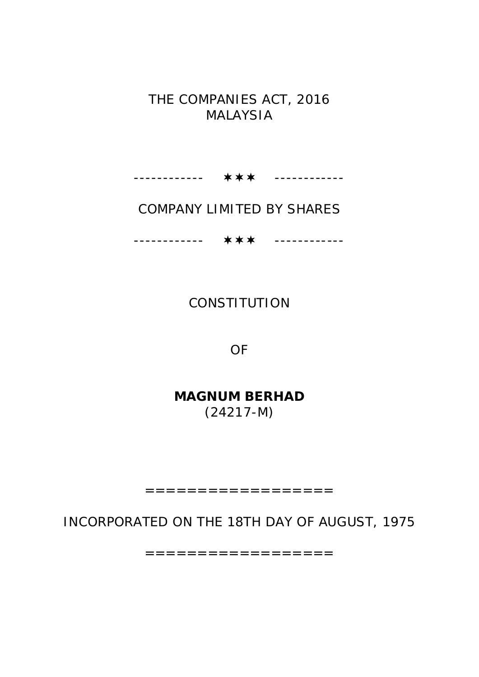## THE COMPANIES ACT, 2016 MALAYSIA

------------ ------------

# COMPANY LIMITED BY SHARES

------------ ------------

## **CONSTITUTION**

OF

**MAGNUM BERHAD** (24217-M)

==================

INCORPORATED ON THE 18TH DAY OF AUGUST, 1975

==================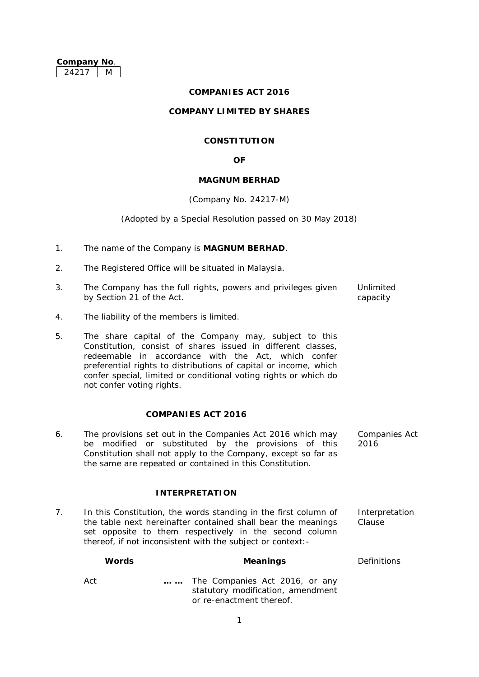#### **COMPANIES ACT 2016**

#### **COMPANY LIMITED BY SHARES**

## **CONSTITUTION**

#### **OF**

#### **MAGNUM BERHAD**

#### (Company No. 24217-M)

#### (Adopted by a Special Resolution passed on 30 May 2018)

- 1. The name of the Company is **MAGNUM BERHAD**.
- 2. The Registered Office will be situated in Malaysia.
- 3. The Company has the full rights, powers and privileges given by Section 21 of the Act. Unlimited capacity
- 4. The liability of the members is limited.
- 5. The share capital of the Company may, subject to this Constitution, consist of shares issued in different classes, redeemable in accordance with the Act, which confer preferential rights to distributions of capital or income, which confer special, limited or conditional voting rights or which do not confer voting rights.

#### **COMPANIES ACT 2016**

6. The provisions set out in the Companies Act 2016 which may be modified or substituted by the provisions of this Constitution shall not apply to the Company, except so far as the same are repeated or contained in this Constitution. Companies Act 2016

#### **INTERPRETATION**

7. In this Constitution, the words standing in the first column of the table next hereinafter contained shall bear the meanings set opposite to them respectively in the second column thereof, if not inconsistent with the subject or context:- Interpretation Clause

| <b>Words</b> | <b>Meanings</b>                                                                                 | <b>Definitions</b> |
|--------------|-------------------------------------------------------------------------------------------------|--------------------|
| Act          | The Companies Act 2016, or any<br>statutory modification, amendment<br>or re-enactment thereof. |                    |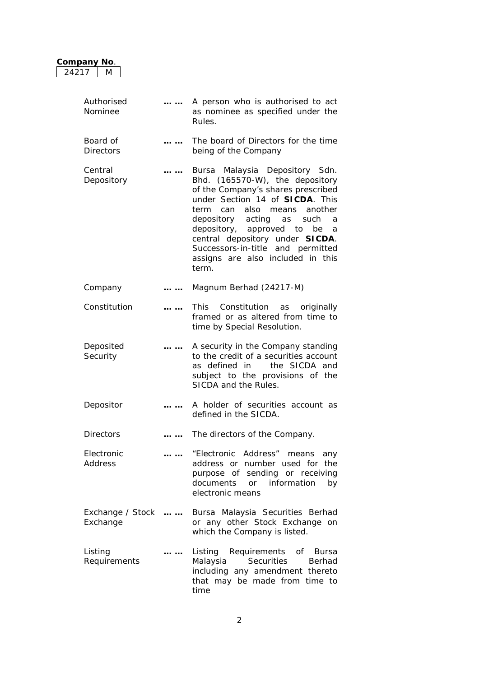| M<br>24217                   |          |                                                                                                                                                                                                                                                                                                                                                                                                   |
|------------------------------|----------|---------------------------------------------------------------------------------------------------------------------------------------------------------------------------------------------------------------------------------------------------------------------------------------------------------------------------------------------------------------------------------------------------|
| Authorised<br>Nominee        | $\cdots$ | A person who is authorised to act<br>as nominee as specified under the<br>Rules.                                                                                                                                                                                                                                                                                                                  |
| Board of<br><b>Directors</b> |          | The board of Directors for the time<br>being of the Company                                                                                                                                                                                                                                                                                                                                       |
| Central<br>Depository        | .        | Bursa Malaysia Depository Sdn.<br>Bhd. (165570-W), the depository<br>of the Company's shares prescribed<br>under Section 14 of <b>SICDA</b> . This<br>term<br>can<br>also<br>another<br>means<br>depository acting<br>such<br>as<br>a<br>depository, approved to<br>be<br>a<br>central depository under SICDA.<br>Successors-in-title and permitted<br>assigns are also included in this<br>term. |
| Company                      | .        | Magnum Berhad (24217-M)                                                                                                                                                                                                                                                                                                                                                                           |
| Constitution                 | .        | Constitution<br><b>This</b><br>originally<br>as<br>framed or as altered from time to<br>time by Special Resolution.                                                                                                                                                                                                                                                                               |
| Deposited<br>Security        |          | A security in the Company standing<br>to the credit of a securities account<br>the SICDA and<br>as defined in<br>subject to the provisions of the<br>SICDA and the Rules.                                                                                                                                                                                                                         |
| Depositor                    |          | A holder of securities account as<br>defined in the SICDA.                                                                                                                                                                                                                                                                                                                                        |
| <b>Directors</b>             | .        | The directors of the Company.                                                                                                                                                                                                                                                                                                                                                                     |
| Electronic<br>Address        | .        | "Electronic Address" means<br>any<br>address or number used for the<br>purpose of sending or receiving<br>documents<br>or information<br>by<br>electronic means                                                                                                                                                                                                                                   |
| Exchange / Stock<br>Exchange | $\cdots$ | Bursa Malaysia Securities Berhad<br>or any other Stock Exchange on<br>which the Company is listed.                                                                                                                                                                                                                                                                                                |
| Listing<br>Requirements      | .        | Requirements<br>Listing<br>of Bursa<br>Malaysia<br>Securities<br>Berhad<br>including any amendment thereto<br>that may be made from time to<br>time                                                                                                                                                                                                                                               |

**Company No**.

## 2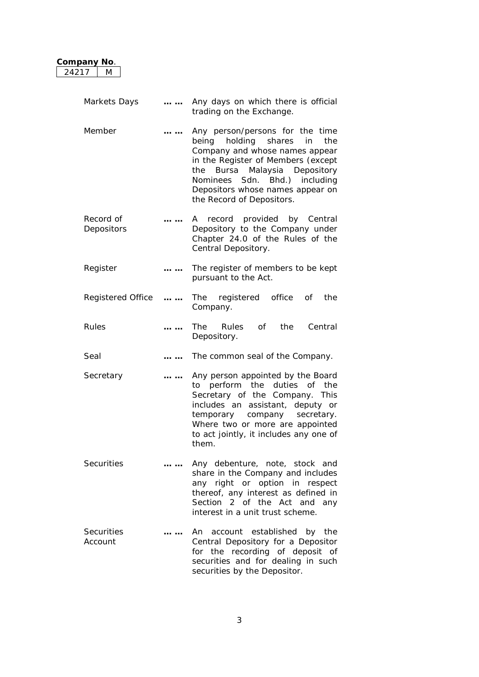| Company No.<br>24217<br>M    |          |                                                                                                                                                                                                                                                                                              |
|------------------------------|----------|----------------------------------------------------------------------------------------------------------------------------------------------------------------------------------------------------------------------------------------------------------------------------------------------|
|                              |          |                                                                                                                                                                                                                                                                                              |
| Markets Days                 |          | Any days on which there is official<br>trading on the Exchange.                                                                                                                                                                                                                              |
| Member                       | .        | Any person/persons for the time<br>being holding<br>shares<br>the<br>in<br>Company and whose names appear<br>in the Register of Members (except<br>the<br>Bursa Malaysia Depository<br>Sdn. Bhd.) including<br>Nominees<br>Depositors whose names appear on<br>the Record of Depositors.     |
| Record of<br>Depositors      | .        | record provided by Central<br>A<br>Depository to the Company under<br>Chapter 24.0 of the Rules of the<br>Central Depository.                                                                                                                                                                |
| Register                     | .        | The register of members to be kept<br>pursuant to the Act.                                                                                                                                                                                                                                   |
| <b>Registered Office</b>     | $\cdots$ | office<br>registered<br>the<br>The<br>οf<br>Company.                                                                                                                                                                                                                                         |
| Rules                        |          | Central<br>The<br><b>Rules</b><br>of the origin of the original random control. The control is the control of the control of the control in the c<br>Separate control in the control in the control in the control in the control in the control in the control in<br>the<br>Depository.     |
| Seal                         | $\cdots$ | The common seal of the Company.                                                                                                                                                                                                                                                              |
| Secretary                    |          | Any person appointed by the Board<br>perform<br>the<br>duties<br>0f<br>the<br>to<br>Secretary of the Company.<br><b>This</b><br>includes an assistant, deputy or<br>temporary<br>company<br>secretary.<br>Where two or more are appointed<br>to act jointly, it includes any one of<br>them. |
| <b>Securities</b>            |          | Any debenture, note, stock and<br>share in the Company and includes<br>any right or option in respect<br>thereof, any interest as defined in<br>Section 2 of the Act and any<br>interest in a unit trust scheme.                                                                             |
| <b>Securities</b><br>Account | .        | An account established by the<br>Central Depository for a Depositor<br>for the recording of deposit of<br>securities and for dealing in such<br>securities by the Depositor.                                                                                                                 |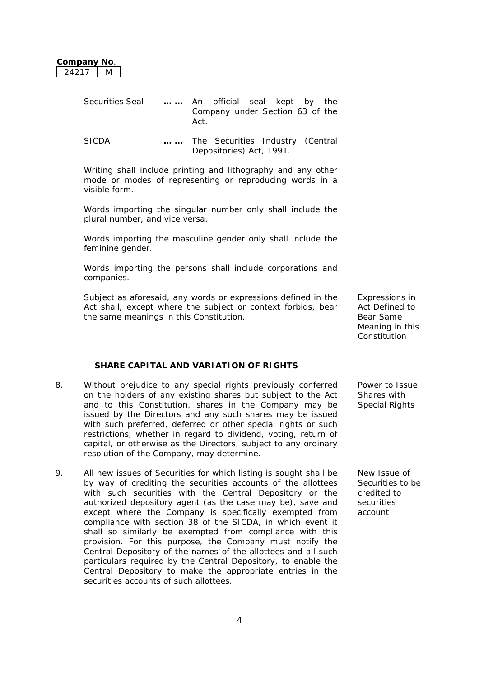| Company No |  |
|------------|--|
| ウオウキ       |  |

| <b>Securities Seal</b> |     | An official seal kept by the     |  |  |
|------------------------|-----|----------------------------------|--|--|
|                        | Act | Company under Section 63 of the  |  |  |
| SICDA                  |     | The Securities Industry (Central |  |  |

Depositories) Act, 1991.

Writing shall include printing and lithography and any other mode or modes of representing or reproducing words in a visible form.

Words importing the singular number only shall include the plural number, and vice versa.

Words importing the masculine gender only shall include the feminine gender.

Words importing the persons shall include corporations and companies.

Subject as aforesaid, any words or expressions defined in the Act shall, except where the subject or context forbids, bear the same meanings in this Constitution.

**SHARE CAPITAL AND VARIATION OF RIGHTS**

- 8. Without prejudice to any special rights previously conferred on the holders of any existing shares but subject to the Act and to this Constitution, shares in the Company may be issued by the Directors and any such shares may be issued with such preferred, deferred or other special rights or such restrictions, whether in regard to dividend, voting, return of capital, or otherwise as the Directors, subject to any ordinary resolution of the Company, may determine.
- 9. All new issues of Securities for which listing is sought shall be by way of crediting the securities accounts of the allottees with such securities with the Central Depository or the authorized depository agent (as the case may be), save and except where the Company is specifically exempted from compliance with section 38 of the SICDA, in which event it shall so similarly be exempted from compliance with this provision. For this purpose, the Company must notify the Central Depository of the names of the allottees and all such particulars required by the Central Depository, to enable the Central Depository to make the appropriate entries in the securities accounts of such allottees.

Expressions in Act Defined to Bear Same Meaning in this **Constitution** 

Power to Issue Shares with Special Rights

New Issue of Securities to be credited to securities account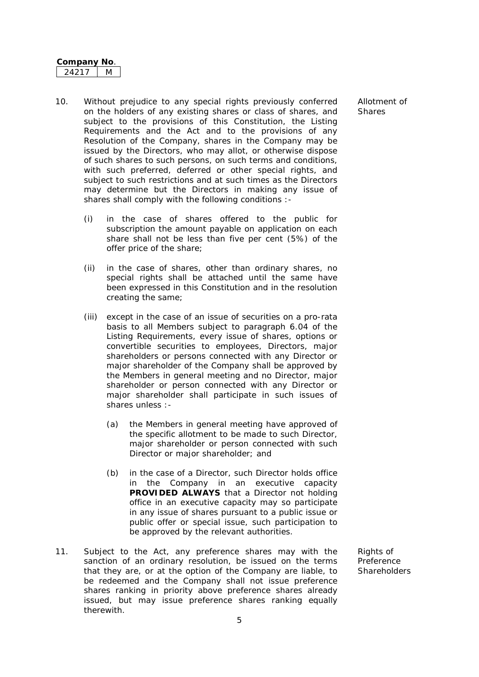- 10. Without prejudice to any special rights previously conferred on the holders of any existing shares or class of shares, and subject to the provisions of this Constitution, the Listing Requirements and the Act and to the provisions of any Resolution of the Company, shares in the Company may be issued by the Directors, who may allot, or otherwise dispose of such shares to such persons, on such terms and conditions, with such preferred, deferred or other special rights, and subject to such restrictions and at such times as the Directors may determine but the Directors in making any issue of shares shall comply with the following conditions :-
	- (i) in the case of shares offered to the public for subscription the amount payable on application on each share shall not be less than five per cent (5%) of the offer price of the share;
	- (ii) in the case of shares, other than ordinary shares, no special rights shall be attached until the same have been expressed in this Constitution and in the resolution creating the same;
	- (iii) except in the case of an issue of securities on a pro-rata basis to all Members subject to paragraph 6.04 of the Listing Requirements, every issue of shares, options or convertible securities to employees, Directors, major shareholders or persons connected with any Director or major shareholder of the Company shall be approved by the Members in general meeting and no Director, major shareholder or person connected with any Director or major shareholder shall participate in such issues of shares unless :-
		- (a) the Members in general meeting have approved of the specific allotment to be made to such Director, major shareholder or person connected with such Director or major shareholder; and
		- (b) in the case of a Director, such Director holds office in the Company in an executive capacity **PROVIDED ALWAYS** that a Director not holding office in an executive capacity may so participate in any issue of shares pursuant to a public issue or public offer or special issue, such participation to be approved by the relevant authorities.
- 11. Subject to the Act, any preference shares may with the sanction of an ordinary resolution, be issued on the terms that they are, or at the option of the Company are liable, to be redeemed and the Company shall not issue preference shares ranking in priority above preference shares already issued, but may issue preference shares ranking equally therewith.

Allotment of **Shares** 

Rights of Preference **Shareholders**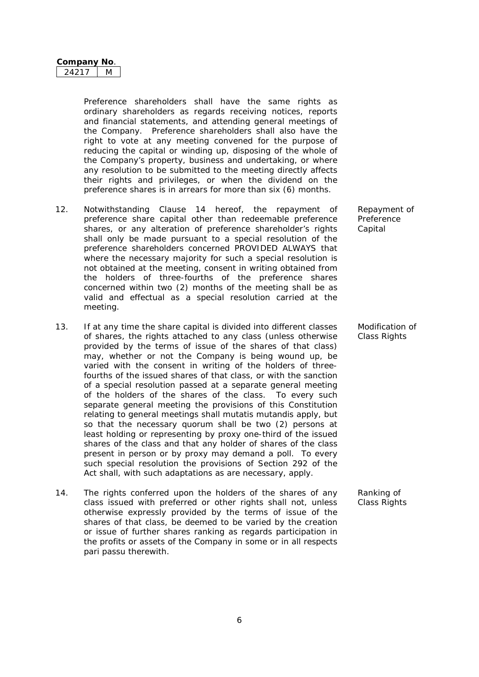| Company No |  |
|------------|--|
|            |  |

Preference shareholders shall have the same rights as ordinary shareholders as regards receiving notices, reports and financial statements, and attending general meetings of the Company. Preference shareholders shall also have the right to vote at any meeting convened for the purpose of reducing the capital or winding up, disposing of the whole of the Company's property, business and undertaking, or where any resolution to be submitted to the meeting directly affects their rights and privileges, or when the dividend on the preference shares is in arrears for more than six (6) months.

- 12. Notwithstanding Clause 14 hereof, the repayment of preference share capital other than redeemable preference shares, or any alteration of preference shareholder's rights shall only be made pursuant to a special resolution of the preference shareholders concerned PROVIDED ALWAYS that where the necessary majority for such a special resolution is not obtained at the meeting, consent in writing obtained from the holders of three-fourths of the preference shares concerned within two (2) months of the meeting shall be as valid and effectual as a special resolution carried at the meeting.
- 13. If at any time the share capital is divided into different classes of shares, the rights attached to any class (unless otherwise provided by the terms of issue of the shares of that class) may, whether or not the Company is being wound up, be varied with the consent in writing of the holders of threefourths of the issued shares of that class, or with the sanction of a special resolution passed at a separate general meeting of the holders of the shares of the class. To every such separate general meeting the provisions of this Constitution relating to general meetings shall mutatis mutandis apply, but so that the necessary quorum shall be two (2) persons at least holding or representing by proxy one-third of the issued shares of the class and that any holder of shares of the class present in person or by proxy may demand a poll. To every such special resolution the provisions of Section 292 of the Act shall, with such adaptations as are necessary, apply.
- 14. The rights conferred upon the holders of the shares of any class issued with preferred or other rights shall not, unless otherwise expressly provided by the terms of issue of the shares of that class, be deemed to be varied by the creation or issue of further shares ranking as regards participation in the profits or assets of the Company in some or in all respects pari passu therewith.

Repayment of Preference **Capital** 

Modification of Class Rights

Ranking of Class Rights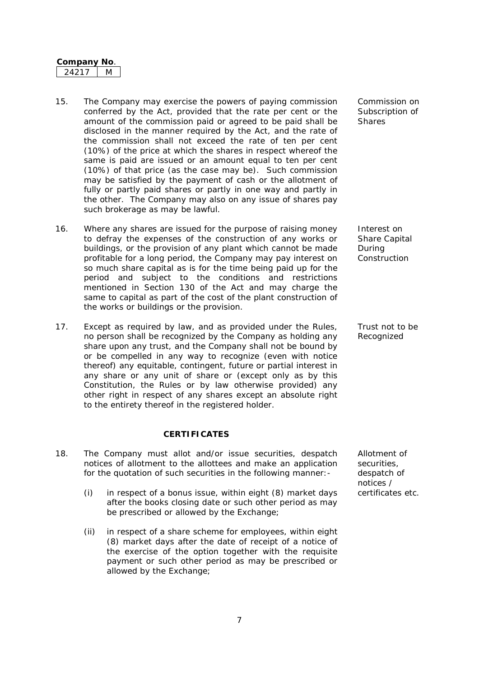- 15. The Company may exercise the powers of paying commission conferred by the Act, provided that the rate per cent or the amount of the commission paid or agreed to be paid shall be disclosed in the manner required by the Act, and the rate of the commission shall not exceed the rate of ten per cent (10%) of the price at which the shares in respect whereof the same is paid are issued or an amount equal to ten per cent (10%) of that price (as the case may be). Such commission may be satisfied by the payment of cash or the allotment of fully or partly paid shares or partly in one way and partly in the other. The Company may also on any issue of shares pay such brokerage as may be lawful.
- 16. Where any shares are issued for the purpose of raising money to defray the expenses of the construction of any works or buildings, or the provision of any plant which cannot be made profitable for a long period, the Company may pay interest on so much share capital as is for the time being paid up for the period and subject to the conditions and restrictions mentioned in Section 130 of the Act and may charge the same to capital as part of the cost of the plant construction of the works or buildings or the provision.
- 17. Except as required by law, and as provided under the Rules, no person shall be recognized by the Company as holding any share upon any trust, and the Company shall not be bound by or be compelled in any way to recognize (even with notice thereof) any equitable, contingent, future or partial interest in any share or any unit of share or (except only as by this Constitution, the Rules or by law otherwise provided) any other right in respect of any shares except an absolute right to the entirety thereof in the registered holder.

#### **CERTIFICATES**

- 18. The Company must allot and/or issue securities, despatch notices of allotment to the allottees and make an application for the quotation of such securities in the following manner:-
	- (i) in respect of a bonus issue, within eight (8) market days certificates etc. after the books closing date or such other period as may be prescribed or allowed by the Exchange;
	- (ii) in respect of a share scheme for employees, within eight (8) market days after the date of receipt of a notice of the exercise of the option together with the requisite payment or such other period as may be prescribed or allowed by the Exchange;

Commission on Subscription of **Shares** 

Interest on Share Capital During Construction

Trust not to be Recognized

Allotment of securities, despatch of notices /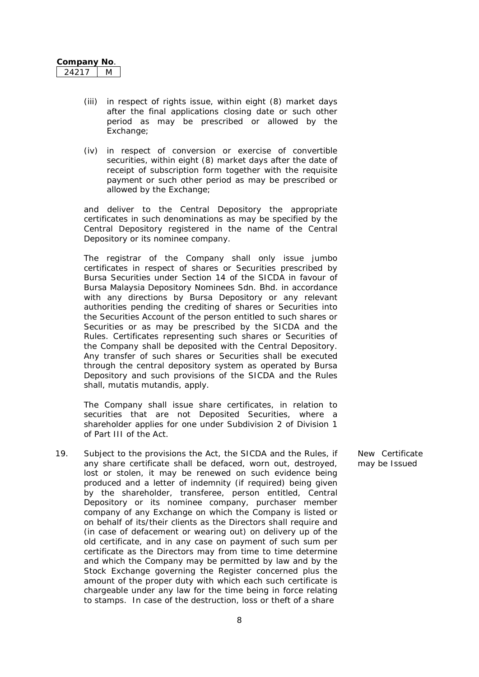- (iii) in respect of rights issue, within eight (8) market days after the final applications closing date or such other period as may be prescribed or allowed by the Exchange:
- (iv) in respect of conversion or exercise of convertible securities, within eight (8) market days after the date of receipt of subscription form together with the requisite payment or such other period as may be prescribed or allowed by the Exchange;

and deliver to the Central Depository the appropriate certificates in such denominations as may be specified by the Central Depository registered in the name of the Central Depository or its nominee company.

The registrar of the Company shall only issue jumbo certificates in respect of shares or Securities prescribed by Bursa Securities under Section 14 of the SICDA in favour of Bursa Malaysia Depository Nominees Sdn. Bhd. in accordance with any directions by Bursa Depository or any relevant authorities pending the crediting of shares or Securities into the Securities Account of the person entitled to such shares or Securities or as may be prescribed by the SICDA and the Rules. Certificates representing such shares or Securities of the Company shall be deposited with the Central Depository. Any transfer of such shares or Securities shall be executed through the central depository system as operated by Bursa Depository and such provisions of the SICDA and the Rules shall, mutatis mutandis, apply.

The Company shall issue share certificates, in relation to securities that are not Deposited Securities, where a shareholder applies for one under Subdivision 2 of Division 1 of Part III of the Act.

19. Subject to the provisions the Act, the SICDA and the Rules, if any share certificate shall be defaced, worn out, destroyed, lost or stolen, it may be renewed on such evidence being produced and a letter of indemnity (if required) being given by the shareholder, transferee, person entitled, Central Depository or its nominee company, purchaser member company of any Exchange on which the Company is listed or on behalf of its/their clients as the Directors shall require and (in case of defacement or wearing out) on delivery up of the old certificate, and in any case on payment of such sum per certificate as the Directors may from time to time determine and which the Company may be permitted by law and by the Stock Exchange governing the Register concerned plus the amount of the proper duty with which each such certificate is chargeable under any law for the time being in force relating to stamps. In case of the destruction, loss or theft of a share

New Certificate may be Issued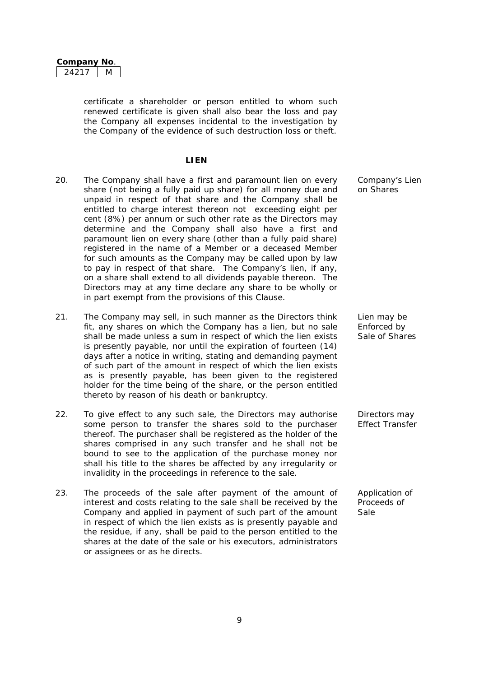| Company No |  |
|------------|--|
|            |  |

certificate a shareholder or person entitled to whom such renewed certificate is given shall also bear the loss and pay the Company all expenses incidental to the investigation by the Company of the evidence of such destruction loss or theft.

#### **LIEN**

- 20. The Company shall have a first and paramount lien on every share (not being a fully paid up share) for all money due and unpaid in respect of that share and the Company shall be entitled to charge interest thereon not exceeding eight per cent (8%) per annum or such other rate as the Directors may determine and the Company shall also have a first and paramount lien on every share (other than a fully paid share) registered in the name of a Member or a deceased Member for such amounts as the Company may be called upon by law to pay in respect of that share. The Company's lien, if any, on a share shall extend to all dividends payable thereon. The Directors may at any time declare any share to be wholly or in part exempt from the provisions of this Clause.
- 21. The Company may sell, in such manner as the Directors think fit, any shares on which the Company has a lien, but no sale shall be made unless a sum in respect of which the lien exists is presently payable, nor until the expiration of fourteen (14) days after a notice in writing, stating and demanding payment of such part of the amount in respect of which the lien exists as is presently payable, has been given to the registered holder for the time being of the share, or the person entitled thereto by reason of his death or bankruptcy.
- 22. To give effect to any such sale, the Directors may authorise some person to transfer the shares sold to the purchaser thereof. The purchaser shall be registered as the holder of the shares comprised in any such transfer and he shall not be bound to see to the application of the purchase money nor shall his title to the shares be affected by any irregularity or invalidity in the proceedings in reference to the sale.
- 23. The proceeds of the sale after payment of the amount of interest and costs relating to the sale shall be received by the Company and applied in payment of such part of the amount in respect of which the lien exists as is presently payable and the residue, if any, shall be paid to the person entitled to the shares at the date of the sale or his executors, administrators or assignees or as he directs.

Company's Lien on Shares

Lien may be Enforced by Sale of Shares

Directors may Effect Transfer

Application of Proceeds of Sale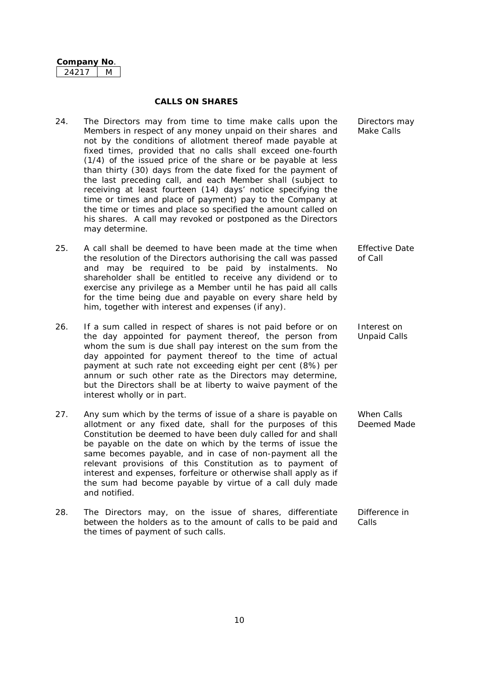#### **CALLS ON SHARES**

- 24. The Directors may from time to time make calls upon the Members in respect of any money unpaid on their shares and not by the conditions of allotment thereof made payable at fixed times, provided that no calls shall exceed one-fourth (1/4) of the issued price of the share or be payable at less than thirty (30) days from the date fixed for the payment of the last preceding call, and each Member shall (subject to receiving at least fourteen (14) days' notice specifying the time or times and place of payment) pay to the Company at the time or times and place so specified the amount called on his shares. A call may revoked or postponed as the Directors may determine.
- 25. A call shall be deemed to have been made at the time when the resolution of the Directors authorising the call was passed and may be required to be paid by instalments. No shareholder shall be entitled to receive any dividend or to exercise any privilege as a Member until he has paid all calls for the time being due and payable on every share held by him, together with interest and expenses (if any). Effective Date
- 26. If a sum called in respect of shares is not paid before or on the day appointed for payment thereof, the person from whom the sum is due shall pay interest on the sum from the day appointed for payment thereof to the time of actual payment at such rate not exceeding eight per cent (8%) per annum or such other rate as the Directors may determine, but the Directors shall be at liberty to waive payment of the interest wholly or in part.
- 27. Any sum which by the terms of issue of a share is payable on allotment or any fixed date, shall for the purposes of this Constitution be deemed to have been duly called for and shall be payable on the date on which by the terms of issue the same becomes payable, and in case of non-payment all the relevant provisions of this Constitution as to payment of interest and expenses, forfeiture or otherwise shall apply as if the sum had become payable by virtue of a call duly made and notified.
- 28. The Directors may, on the issue of shares, differentiate between the holders as to the amount of calls to be paid and the times of payment of such calls. Difference in Calls

Directors may Make Calls

of Call

Interest on Unpaid Calls

When Calls Deemed Made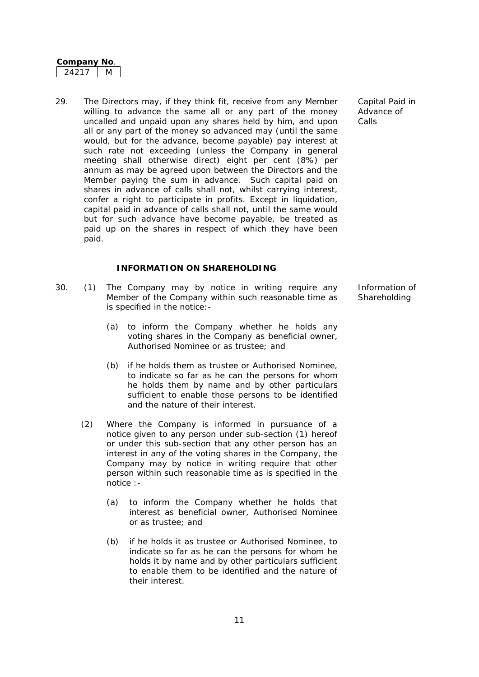| Company i | NΩ |
|-----------|----|
| 421       |    |

29. The Directors may, if they think fit, receive from any Member willing to advance the same all or any part of the money uncalled and unpaid upon any shares held by him, and upon all or any part of the money so advanced may (until the same would, but for the advance, become payable) pay interest at such rate not exceeding (unless the Company in general meeting shall otherwise direct) eight per cent (8%) per annum as may be agreed upon between the Directors and the Member paying the sum in advance. Such capital paid on shares in advance of calls shall not, whilst carrying interest, confer a right to participate in profits. Except in liquidation, capital paid in advance of calls shall not, until the same would but for such advance have become payable, be treated as paid up on the shares in respect of which they have been paid.

## **INFORMATION ON SHAREHOLDING**

- 30. (1) The Company may by notice in writing require any Member of the Company within such reasonable time as is specified in the notice:-
	- (a) to inform the Company whether he holds any voting shares in the Company as beneficial owner, Authorised Nominee or as trustee; and
	- (b) if he holds them as trustee or Authorised Nominee, to indicate so far as he can the persons for whom he holds them by name and by other particulars sufficient to enable those persons to be identified and the nature of their interest.
	- (2) Where the Company is informed in pursuance of a notice given to any person under sub-section (1) hereof or under this sub-section that any other person has an interest in any of the voting shares in the Company, the Company may by notice in writing require that other person within such reasonable time as is specified in the notice :-
		- (a) to inform the Company whether he holds that interest as beneficial owner, Authorised Nominee or as trustee; and
		- (b) if he holds it as trustee or Authorised Nominee, to indicate so far as he can the persons for whom he holds it by name and by other particulars sufficient to enable them to be identified and the nature of their interest.

Capital Paid in Advance of Calls

Information of **Shareholding**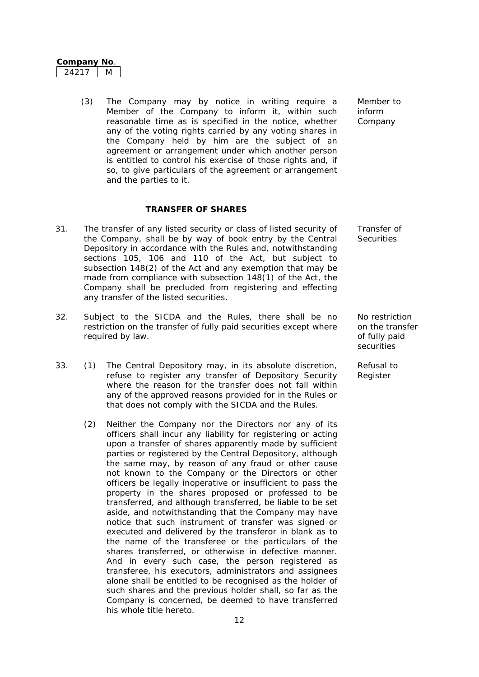| ∪ompanv No |  |
|------------|--|
|            |  |

(3) The Company may by notice in writing require a Member of the Company to inform it, within such reasonable time as is specified in the notice, whether any of the voting rights carried by any voting shares in the Company held by him are the subject of an agreement or arrangement under which another person is entitled to control his exercise of those rights and, if so, to give particulars of the agreement or arrangement and the parties to it.

#### **TRANSFER OF SHARES**

- 31. The transfer of any listed security or class of listed security of the Company, shall be by way of book entry by the Central Depository in accordance with the Rules and, notwithstanding sections 105, 106 and 110 of the Act, but subject to subsection 148(2) of the Act and any exemption that may be made from compliance with subsection 148(1) of the Act, the Company shall be precluded from registering and effecting any transfer of the listed securities.
- 32. Subject to the SICDA and the Rules, there shall be no restriction on the transfer of fully paid securities except where required by law.
- 33. (1) The Central Depository may, in its absolute discretion, refuse to register any transfer of Depository Security where the reason for the transfer does not fall within any of the approved reasons provided for in the Rules or that does not comply with the SICDA and the Rules.
	- (2) Neither the Company nor the Directors nor any of its officers shall incur any liability for registering or acting upon a transfer of shares apparently made by sufficient parties or registered by the Central Depository, although the same may, by reason of any fraud or other cause not known to the Company or the Directors or other officers be legally inoperative or insufficient to pass the property in the shares proposed or professed to be transferred, and although transferred, be liable to be set aside, and notwithstanding that the Company may have notice that such instrument of transfer was signed or executed and delivered by the transferor in blank as to the name of the transferee or the particulars of the shares transferred, or otherwise in defective manner. And in every such case, the person registered as transferee, his executors, administrators and assignees alone shall be entitled to be recognised as the holder of such shares and the previous holder shall, so far as the Company is concerned, be deemed to have transferred his whole title hereto.

Member to inform Company

Transfer of **Securities** 

No restriction on the transfer of fully paid securities

Refusal to Register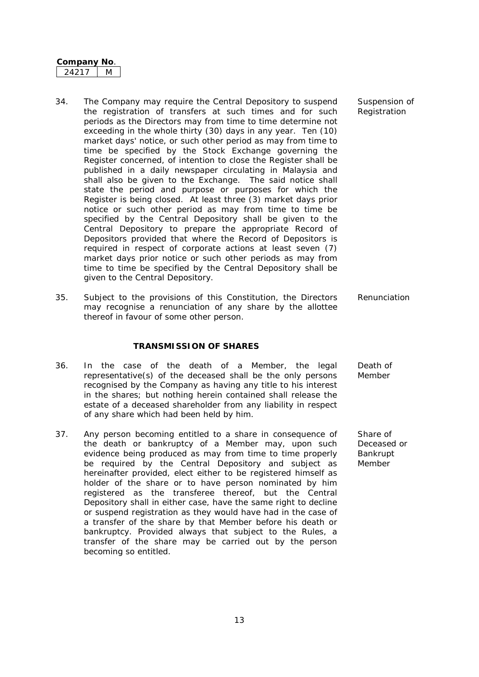- 34. The Company may require the Central Depository to suspend the registration of transfers at such times and for such periods as the Directors may from time to time determine not exceeding in the whole thirty (30) days in any year. Ten (10) market days' notice, or such other period as may from time to time be specified by the Stock Exchange governing the Register concerned, of intention to close the Register shall be published in a daily newspaper circulating in Malaysia and shall also be given to the Exchange. The said notice shall state the period and purpose or purposes for which the Register is being closed. At least three (3) market days prior notice or such other period as may from time to time be specified by the Central Depository shall be given to the Central Depository to prepare the appropriate Record of Depositors provided that where the Record of Depositors is required in respect of corporate actions at least seven (7) market days prior notice or such other periods as may from time to time be specified by the Central Depository shall be given to the Central Depository.
- 35. Subject to the provisions of this Constitution, the Directors may recognise a renunciation of any share by the allottee thereof in favour of some other person.

#### **TRANSMISSION OF SHARES**

- 36. In the case of the death of a Member, the legal representative(s) of the deceased shall be the only persons recognised by the Company as having any title to his interest in the shares; but nothing herein contained shall release the estate of a deceased shareholder from any liability in respect of any share which had been held by him.
- 37. Any person becoming entitled to a share in consequence of the death or bankruptcy of a Member may, upon such evidence being produced as may from time to time properly be required by the Central Depository and subject as hereinafter provided, elect either to be registered himself as holder of the share or to have person nominated by him registered as the transferee thereof, but the Central Depository shall in either case, have the same right to decline or suspend registration as they would have had in the case of a transfer of the share by that Member before his death or bankruptcy. Provided always that subject to the Rules, a transfer of the share may be carried out by the person becoming so entitled.

Suspension of Registration

Renunciation

Death of Member

Share of Deceased or Bankrupt Member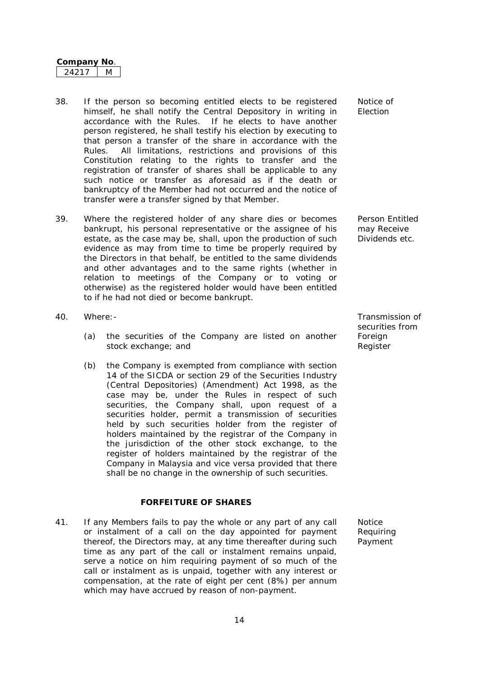- 38. If the person so becoming entitled elects to be registered himself, he shall notify the Central Depository in writing in accordance with the Rules. If he elects to have another person registered, he shall testify his election by executing to that person a transfer of the share in accordance with the Rules. All limitations, restrictions and provisions of this Constitution relating to the rights to transfer and the registration of transfer of shares shall be applicable to any such notice or transfer as aforesaid as if the death or bankruptcy of the Member had not occurred and the notice of transfer were a transfer signed by that Member.
- 39. Where the registered holder of any share dies or becomes bankrupt, his personal representative or the assignee of his estate, as the case may be, shall, upon the production of such evidence as may from time to time be properly required by the Directors in that behalf, be entitled to the same dividends and other advantages and to the same rights (whether in relation to meetings of the Company or to voting or otherwise) as the registered holder would have been entitled to if he had not died or become bankrupt.
- 40. Where:- Transmission of
	- (a) the securities of the Company are listed on another stock exchange; and
	- (b) the Company is exempted from compliance with section 14 of the SICDA or section 29 of the Securities Industry (Central Depositories) (Amendment) Act 1998, as the case may be, under the Rules in respect of such securities, the Company shall, upon request of a securities holder, permit a transmission of securities held by such securities holder from the register of holders maintained by the registrar of the Company in the jurisdiction of the other stock exchange, to the register of holders maintained by the registrar of the Company in Malaysia and vice versa provided that there shall be no change in the ownership of such securities.

#### **FORFEITURE OF SHARES**

41. If any Members fails to pay the whole or any part of any call or instalment of a call on the day appointed for payment thereof, the Directors may, at any time thereafter during such time as any part of the call or instalment remains unpaid, serve a notice on him requiring payment of so much of the call or instalment as is unpaid, together with any interest or compensation, at the rate of eight per cent (8%) per annum which may have accrued by reason of non-payment.

Notice of Election

Person Entitled may Receive Dividends etc.

securities from Foreign Register

Notice Requiring Payment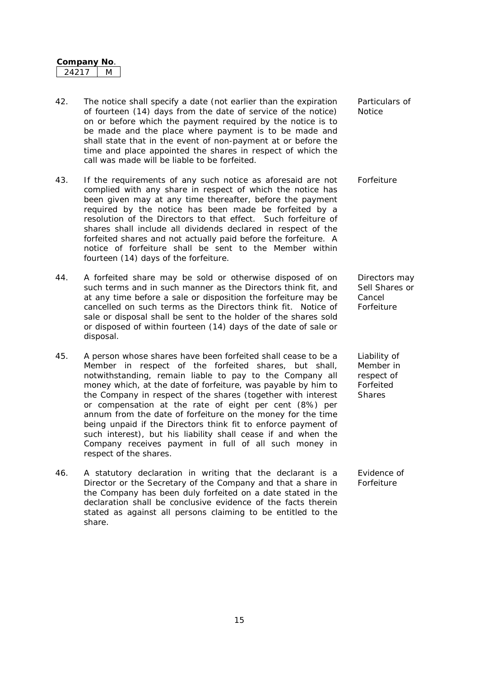- 42. The notice shall specify a date (not earlier than the expiration of fourteen (14) days from the date of service of the notice) on or before which the payment required by the notice is to be made and the place where payment is to be made and shall state that in the event of non-payment at or before the time and place appointed the shares in respect of which the call was made will be liable to be forfeited.
- 43. If the requirements of any such notice as aforesaid are not complied with any share in respect of which the notice has been given may at any time thereafter, before the payment required by the notice has been made be forfeited by a resolution of the Directors to that effect. Such forfeiture of shares shall include all dividends declared in respect of the forfeited shares and not actually paid before the forfeiture. A notice of forfeiture shall be sent to the Member within fourteen (14) days of the forfeiture.
- 44. A forfeited share may be sold or otherwise disposed of on such terms and in such manner as the Directors think fit, and at any time before a sale or disposition the forfeiture may be cancelled on such terms as the Directors think fit. Notice of sale or disposal shall be sent to the holder of the shares sold or disposed of within fourteen (14) days of the date of sale or disposal.
- 45. A person whose shares have been forfeited shall cease to be a Member in respect of the forfeited shares, but shall, notwithstanding, remain liable to pay to the Company all money which, at the date of forfeiture, was payable by him to the Company in respect of the shares (together with interest or compensation at the rate of eight per cent (8%) per annum from the date of forfeiture on the money for the time being unpaid if the Directors think fit to enforce payment of such interest), but his liability shall cease if and when the Company receives payment in full of all such money in respect of the shares.
- 46. A statutory declaration in writing that the declarant is a Director or the Secretary of the Company and that a share in the Company has been duly forfeited on a date stated in the declaration shall be conclusive evidence of the facts therein stated as against all persons claiming to be entitled to the share.

Particulars of **Notice** 

Forfeiture

Directors may Sell Shares or Cancel Forfeiture

Liability of Member in respect of Forfeited Shares

Evidence of Forfeiture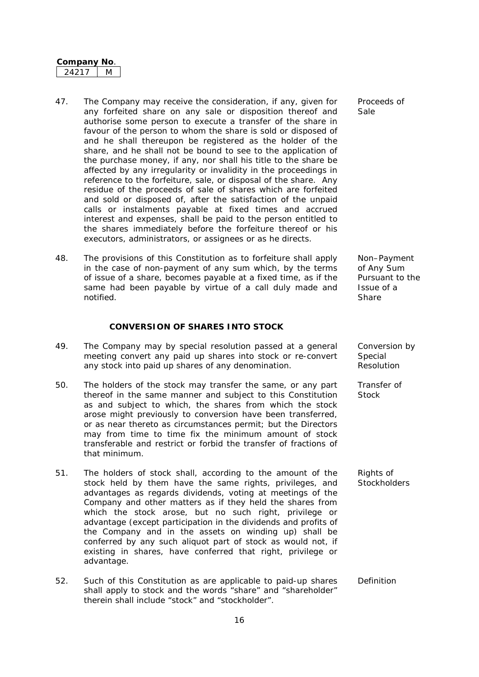- 47. The Company may receive the consideration, if any, given for any forfeited share on any sale or disposition thereof and authorise some person to execute a transfer of the share in favour of the person to whom the share is sold or disposed of and he shall thereupon be registered as the holder of the share, and he shall not be bound to see to the application of the purchase money, if any, nor shall his title to the share be affected by any irregularity or invalidity in the proceedings in reference to the forfeiture, sale, or disposal of the share. Any residue of the proceeds of sale of shares which are forfeited and sold or disposed of, after the satisfaction of the unpaid calls or instalments payable at fixed times and accrued interest and expenses, shall be paid to the person entitled to the shares immediately before the forfeiture thereof or his executors, administrators, or assignees or as he directs.
- 48. The provisions of this Constitution as to forfeiture shall apply in the case of non-payment of any sum which, by the terms of issue of a share, becomes payable at a fixed time, as if the same had been payable by virtue of a call duly made and notified.

#### **CONVERSION OF SHARES INTO STOCK**

- 49. The Company may by special resolution passed at a general meeting convert any paid up shares into stock or re-convert any stock into paid up shares of any denomination.
- 50. The holders of the stock may transfer the same, or any part thereof in the same manner and subject to this Constitution as and subject to which, the shares from which the stock arose might previously to conversion have been transferred, or as near thereto as circumstances permit; but the Directors may from time to time fix the minimum amount of stock transferable and restrict or forbid the transfer of fractions of that minimum.
- 51. The holders of stock shall, according to the amount of the stock held by them have the same rights, privileges, and advantages as regards dividends, voting at meetings of the Company and other matters as if they held the shares from which the stock arose, but no such right, privilege or advantage (except participation in the dividends and profits of the Company and in the assets on winding up) shall be conferred by any such aliquot part of stock as would not, if existing in shares, have conferred that right, privilege or advantage.
- 52. Such of this Constitution as are applicable to paid-up shares shall apply to stock and the words "share" and "shareholder" therein shall include "stock" and "stockholder".

Proceeds of Sale

Non–Payment of Any Sum Pursuant to the Issue of a Share

Conversion by Special Resolution

Transfer of **Stock** 

Rights of **Stockholders** 

Definition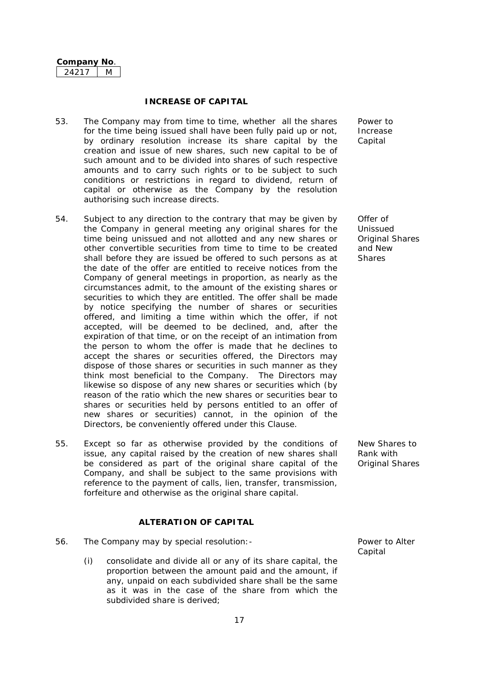#### **INCREASE OF CAPITAL**

- 53. The Company may from time to time, whether all the shares for the time being issued shall have been fully paid up or not, by ordinary resolution increase its share capital by the creation and issue of new shares, such new capital to be of such amount and to be divided into shares of such respective amounts and to carry such rights or to be subject to such conditions or restrictions in regard to dividend, return of capital or otherwise as the Company by the resolution authorising such increase directs.
- 54. Subject to any direction to the contrary that may be given by the Company in general meeting any original shares for the time being unissued and not allotted and any new shares or other convertible securities from time to time to be created shall before they are issued be offered to such persons as at the date of the offer are entitled to receive notices from the Company of general meetings in proportion, as nearly as the circumstances admit, to the amount of the existing shares or securities to which they are entitled. The offer shall be made by notice specifying the number of shares or securities offered, and limiting a time within which the offer, if not accepted, will be deemed to be declined, and, after the expiration of that time, or on the receipt of an intimation from the person to whom the offer is made that he declines to accept the shares or securities offered, the Directors may dispose of those shares or securities in such manner as they think most beneficial to the Company. The Directors may likewise so dispose of any new shares or securities which (by reason of the ratio which the new shares or securities bear to shares or securities held by persons entitled to an offer of new shares or securities) cannot, in the opinion of the Directors, be conveniently offered under this Clause.
- 55. Except so far as otherwise provided by the conditions of issue, any capital raised by the creation of new shares shall be considered as part of the original share capital of the Company, and shall be subject to the same provisions with reference to the payment of calls, lien, transfer, transmission, forfeiture and otherwise as the original share capital.

## **ALTERATION OF CAPITAL**

- 56. The Company may by special resolution:- Power to Alter
	- (i) consolidate and divide all or any of its share capital, the proportion between the amount paid and the amount, if any, unpaid on each subdivided share shall be the same as it was in the case of the share from which the subdivided share is derived;

Power to Increase Capital

Offer of Unissued Original Shares and New **Shares** 

New Shares to Rank with Original Shares

**Capital**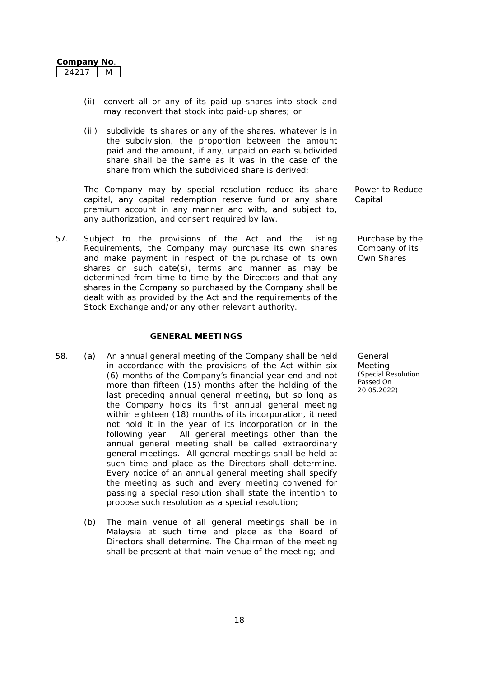- (ii) convert all or any of its paid-up shares into stock and may reconvert that stock into paid-up shares; or
- (iii) subdivide its shares or any of the shares, whatever is in the subdivision, the proportion between the amount paid and the amount, if any, unpaid on each subdivided share shall be the same as it was in the case of the share from which the subdivided share is derived;

The Company may by special resolution reduce its share capital, any capital redemption reserve fund or any share premium account in any manner and with, and subject to, any authorization, and consent required by law.

57. Subject to the provisions of the Act and the Listing Requirements, the Company may purchase its own shares and make payment in respect of the purchase of its own shares on such date(s), terms and manner as may be determined from time to time by the Directors and that any shares in the Company so purchased by the Company shall be dealt with as provided by the Act and the requirements of the Stock Exchange and/or any other relevant authority.

#### **GENERAL MEETINGS**

- 58. (a) An annual general meeting of the Company shall be held in accordance with the provisions of the Act within six (6) months of the Company's financial year end and not more than fifteen (15) months after the holding of the last preceding annual general meeting*,* but so long as the Company holds its first annual general meeting within eighteen (18) months of its incorporation, it need not hold it in the year of its incorporation or in the following year. All general meetings other than the annual general meeting shall be called extraordinary general meetings. All general meetings shall be held at such time and place as the Directors shall determine. Every notice of an annual general meeting shall specify the meeting as such and every meeting convened for passing a special resolution shall state the intention to propose such resolution as a special resolution;
	- (b) The main venue of all general meetings shall be in Malaysia at such time and place as the Board of Directors shall determine. The Chairman of the meeting shall be present at that main venue of the meeting; and

Power to Reduce Capital

Purchase by the Company of its Own Shares

General Meeting *(Special Resolution Passed On 20.05.2022)*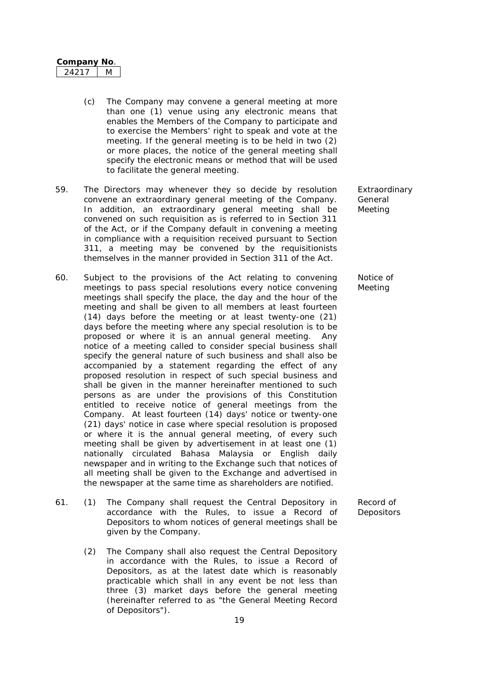| Company | חעו |
|---------|-----|
|         |     |

- (c) The Company may convene a general meeting at more than one (1) venue using any electronic means that enables the Members of the Company to participate and to exercise the Members' right to speak and vote at the meeting. If the general meeting is to be held in two (2) or more places, the notice of the general meeting shall specify the electronic means or method that will be used to facilitate the general meeting.
- 59. The Directors may whenever they so decide by resolution convene an extraordinary general meeting of the Company. In addition, an extraordinary general meeting shall be convened on such requisition as is referred to in Section 311 of the Act, or if the Company default in convening a meeting in compliance with a requisition received pursuant to Section 311, a meeting may be convened by the requisitionists themselves in the manner provided in Section 311 of the Act.
- 60. Subject to the provisions of the Act relating to convening meetings to pass special resolutions every notice convening meetings shall specify the place, the day and the hour of the meeting and shall be given to all members at least fourteen (14) days before the meeting or at least twenty-one (21) days before the meeting where any special resolution is to be proposed or where it is an annual general meeting. Any notice of a meeting called to consider special business shall specify the general nature of such business and shall also be accompanied by a statement regarding the effect of any proposed resolution in respect of such special business and shall be given in the manner hereinafter mentioned to such persons as are under the provisions of this Constitution entitled to receive notice of general meetings from the Company. At least fourteen (14) days' notice or twenty-one (21) days' notice in case where special resolution is proposed or where it is the annual general meeting, of every such meeting shall be given by advertisement in at least one (1) nationally circulated Bahasa Malaysia or English daily newspaper and in writing to the Exchange such that notices of all meeting shall be given to the Exchange and advertised in the newspaper at the same time as shareholders are notified.
- 61. (1) The Company shall request the Central Depository in accordance with the Rules, to issue a Record of Depositors to whom notices of general meetings shall be given by the Company.
	- (2) The Company shall also request the Central Depository in accordance with the Rules, to issue a Record of Depositors, as at the latest date which is reasonably practicable which shall in any event be not less than three (3) market days before the general meeting (hereinafter referred to as "the General Meeting Record of Depositors").

Extraordinary General Meeting

Notice of Meeting

Record of **Depositors**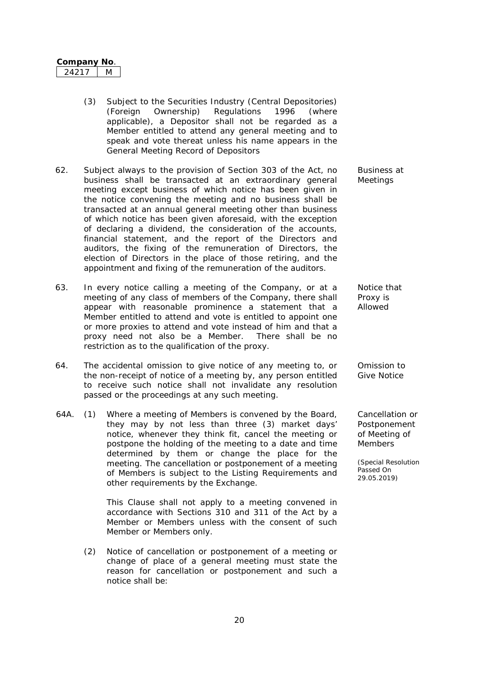| <b>∪ompanv No</b> |  |
|-------------------|--|
|                   |  |

- (3) Subject to the Securities Industry (Central Depositories) (Foreign Ownership) Regulations 1996 (where applicable), a Depositor shall not be regarded as a Member entitled to attend any general meeting and to speak and vote thereat unless his name appears in the General Meeting Record of Depositors
- 62. Subject always to the provision of Section 303 of the Act, no business shall be transacted at an extraordinary general meeting except business of which notice has been given in the notice convening the meeting and no business shall be transacted at an annual general meeting other than business of which notice has been given aforesaid, with the exception of declaring a dividend, the consideration of the accounts, financial statement, and the report of the Directors and auditors, the fixing of the remuneration of Directors, the election of Directors in the place of those retiring, and the appointment and fixing of the remuneration of the auditors.
- 63. In every notice calling a meeting of the Company, or at a meeting of any class of members of the Company, there shall appear with reasonable prominence a statement that a Member entitled to attend and vote is entitled to appoint one or more proxies to attend and vote instead of him and that a proxy need not also be a Member. There shall be no restriction as to the qualification of the proxy.
- 64. The accidental omission to give notice of any meeting to, or the non-receipt of notice of a meeting by, any person entitled to receive such notice shall not invalidate any resolution passed or the proceedings at any such meeting.
- 64A. (1) Where a meeting of Members is convened by the Board, they may by not less than three (3) market days' notice, whenever they think fit, cancel the meeting or postpone the holding of the meeting to a date and time determined by them or change the place for the meeting. The cancellation or postponement of a meeting of Members is subject to the Listing Requirements and other requirements by the Exchange.

This Clause shall not apply to a meeting convened in accordance with Sections 310 and 311 of the Act by a Member or Members unless with the consent of such Member or Members only.

(2) Notice of cancellation or postponement of a meeting or change of place of a general meeting must state the reason for cancellation or postponement and such a notice shall be:

Business at Meetings

Notice that Proxy is Allowed

Omission to Give Notice

Cancellation or Postponement of Meeting of **Members**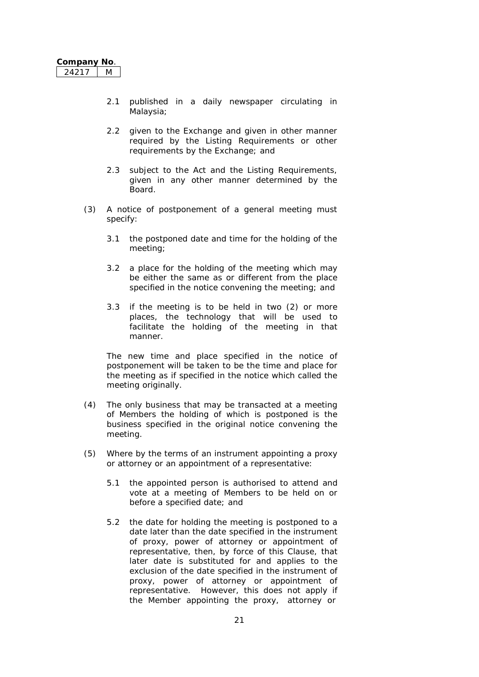- 2.1 published in a daily newspaper circulating in Malaysia;
- 2.2 given to the Exchange and given in other manner required by the Listing Requirements or other requirements by the Exchange; and
- 2.3 subject to the Act and the Listing Requirements, given in any other manner determined by the Board.
- (3) A notice of postponement of a general meeting must specify:
	- 3.1 the postponed date and time for the holding of the meeting;
	- 3.2 a place for the holding of the meeting which may be either the same as or different from the place specified in the notice convening the meeting; and
	- 3.3 if the meeting is to be held in two (2) or more places, the technology that will be used to facilitate the holding of the meeting in that manner.

The new time and place specified in the notice of postponement will be taken to be the time and place for the meeting as if specified in the notice which called the meeting originally.

- (4) The only business that may be transacted at a meeting of Members the holding of which is postponed is the business specified in the original notice convening the meeting.
- (5) Where by the terms of an instrument appointing a proxy or attorney or an appointment of a representative:
	- 5.1 the appointed person is authorised to attend and vote at a meeting of Members to be held on or before a specified date; and
	- 5.2 the date for holding the meeting is postponed to a date later than the date specified in the instrument of proxy, power of attorney or appointment of representative, then, by force of this Clause, that later date is substituted for and applies to the exclusion of the date specified in the instrument of proxy, power of attorney or appointment of representative. However, this does not apply if the Member appointing the proxy, attorney or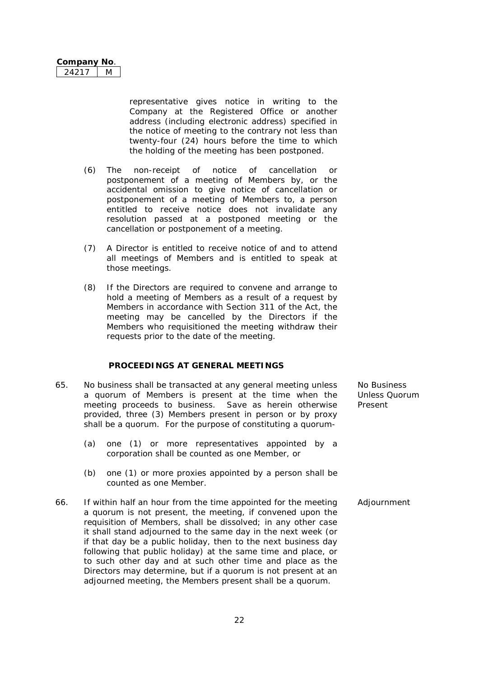representative gives notice in writing to the Company at the Registered Office or another address (including electronic address) specified in the notice of meeting to the contrary not less than twenty-four (24) hours before the time to which the holding of the meeting has been postponed.

- (6) The non-receipt of notice of cancellation or postponement of a meeting of Members by, or the accidental omission to give notice of cancellation or postponement of a meeting of Members to, a person entitled to receive notice does not invalidate any resolution passed at a postponed meeting or the cancellation or postponement of a meeting.
- (7) A Director is entitled to receive notice of and to attend all meetings of Members and is entitled to speak at those meetings.
- (8) If the Directors are required to convene and arrange to hold a meeting of Members as a result of a request by Members in accordance with Section 311 of the Act, the meeting may be cancelled by the Directors if the Members who requisitioned the meeting withdraw their requests prior to the date of the meeting.

## **PROCEEDINGS AT GENERAL MEETINGS**

- 65. No business shall be transacted at any general meeting unless a quorum of Members is present at the time when the meeting proceeds to business. Save as herein otherwise provided, three (3) Members present in person or by proxy shall be a quorum. For the purpose of constituting a quorum-No Business Unless Quorum Present
	- (a) one (1) or more representatives appointed by a corporation shall be counted as one Member, or
	- (b) one (1) or more proxies appointed by a person shall be counted as one Member.
- 66. If within half an hour from the time appointed for the meeting a quorum is not present, the meeting, if convened upon the requisition of Members, shall be dissolved; in any other case it shall stand adjourned to the same day in the next week (or if that day be a public holiday, then to the next business day following that public holiday) at the same time and place, or to such other day and at such other time and place as the Directors may determine, but if a quorum is not present at an adjourned meeting, the Members present shall be a quorum. Adjournment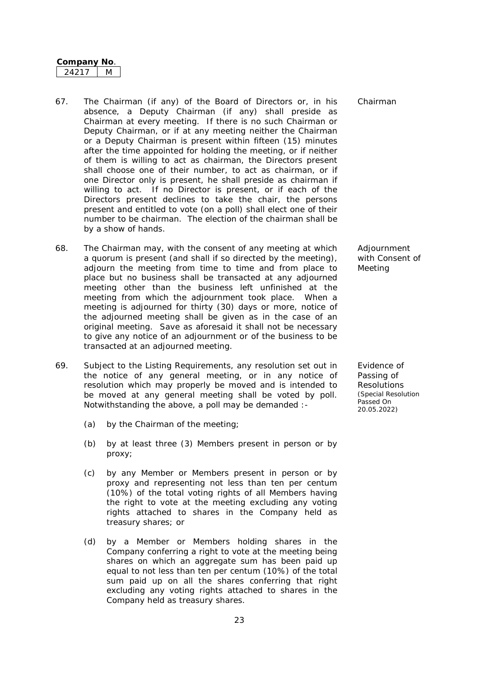- 67. The Chairman (if any) of the Board of Directors or, in his absence, a Deputy Chairman (if any) shall preside as Chairman at every meeting. If there is no such Chairman or Deputy Chairman, or if at any meeting neither the Chairman or a Deputy Chairman is present within fifteen (15) minutes after the time appointed for holding the meeting, or if neither of them is willing to act as chairman, the Directors present shall choose one of their number, to act as chairman, or if one Director only is present, he shall preside as chairman if willing to act. If no Director is present, or if each of the Directors present declines to take the chair, the persons present and entitled to vote (on a poll) shall elect one of their number to be chairman. The election of the chairman shall be by a show of hands.
- 68. The Chairman may, with the consent of any meeting at which a quorum is present (and shall if so directed by the meeting), adjourn the meeting from time to time and from place to place but no business shall be transacted at any adjourned meeting other than the business left unfinished at the meeting from which the adjournment took place. When a meeting is adjourned for thirty (30) days or more, notice of the adjourned meeting shall be given as in the case of an original meeting. Save as aforesaid it shall not be necessary to give any notice of an adjournment or of the business to be transacted at an adjourned meeting.
- 69. Subject to the Listing Requirements, any resolution set out in the notice of any general meeting, or in any notice of resolution which may properly be moved and is intended to be moved at any general meeting shall be voted by poll. Notwithstanding the above, a poll may be demanded :-
	- (a) by the Chairman of the meeting;
	- (b) by at least three (3) Members present in person or by proxy;
	- (c) by any Member or Members present in person or by proxy and representing not less than ten per centum (10%) of the total voting rights of all Members having the right to vote at the meeting excluding any voting rights attached to shares in the Company held as treasury shares; or
	- (d) by a Member or Members holding shares in the Company conferring a right to vote at the meeting being shares on which an aggregate sum has been paid up equal to not less than ten per centum (10%) of the total sum paid up on all the shares conferring that right excluding any voting rights attached to shares in the Company held as treasury shares.

Chairman

Adjournment with Consent of Meeting

Evidence of Passing of **Resolutions** *(Special Resolution Passed On 20.05.2022)*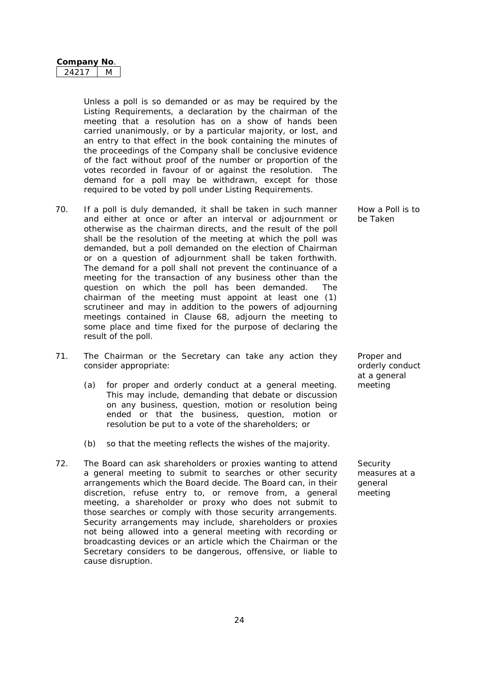| Company No |  |
|------------|--|
|            |  |

Unless a poll is so demanded or as may be required by the Listing Requirements, a declaration by the chairman of the meeting that a resolution has on a show of hands been carried unanimously, or by a particular majority, or lost, and an entry to that effect in the book containing the minutes of the proceedings of the Company shall be conclusive evidence of the fact without proof of the number or proportion of the votes recorded in favour of or against the resolution. The demand for a poll may be withdrawn, except for those required to be voted by poll under Listing Requirements.

- 70. If a poll is duly demanded, it shall be taken in such manner and either at once or after an interval or adjournment or otherwise as the chairman directs, and the result of the poll shall be the resolution of the meeting at which the poll was demanded, but a poll demanded on the election of Chairman or on a question of adjournment shall be taken forthwith. The demand for a poll shall not prevent the continuance of a meeting for the transaction of any business other than the question on which the poll has been demanded. The chairman of the meeting must appoint at least one (1) scrutineer and may in addition to the powers of adjourning meetings contained in Clause 68, adjourn the meeting to some place and time fixed for the purpose of declaring the result of the poll.
- 71. The Chairman or the Secretary can take any action they consider appropriate:
	- (a) for proper and orderly conduct at a general meeting. meeting This may include, demanding that debate or discussion on any business, question, motion or resolution being ended or that the business, question, motion or resolution be put to a vote of the shareholders; or
	- (b) so that the meeting reflects the wishes of the majority.
- 72. The Board can ask shareholders or proxies wanting to attend a general meeting to submit to searches or other security arrangements which the Board decide. The Board can, in their discretion, refuse entry to, or remove from, a general meeting, a shareholder or proxy who does not submit to those searches or comply with those security arrangements. Security arrangements may include, shareholders or proxies not being allowed into a general meeting with recording or broadcasting devices or an article which the Chairman or the Secretary considers to be dangerous, offensive, or liable to cause disruption.

How a Poll is to be Taken

Proper and orderly conduct at a general

**Security** measures at a general meeting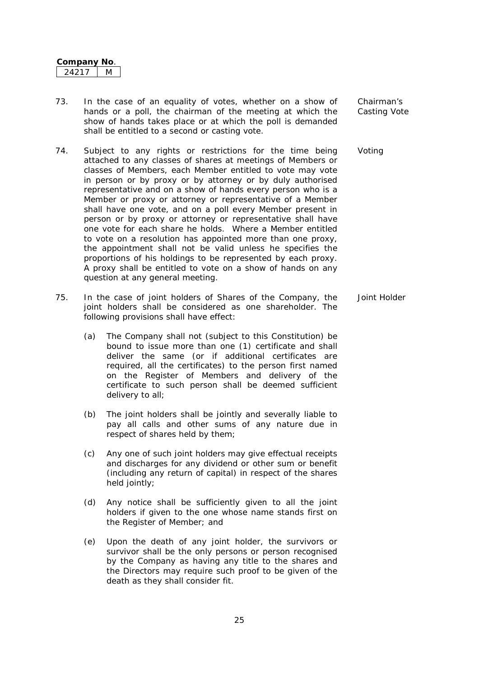- 73. In the case of an equality of votes, whether on a show of hands or a poll, the chairman of the meeting at which the show of hands takes place or at which the poll is demanded shall be entitled to a second or casting vote.
- 74. Subject to any rights or restrictions for the time being attached to any classes of shares at meetings of Members or classes of Members, each Member entitled to vote may vote in person or by proxy or by attorney or by duly authorised representative and on a show of hands every person who is a Member or proxy or attorney or representative of a Member shall have one vote, and on a poll every Member present in person or by proxy or attorney or representative shall have one vote for each share he holds. Where a Member entitled to vote on a resolution has appointed more than one proxy, the appointment shall not be valid unless he specifies the proportions of his holdings to be represented by each proxy. A proxy shall be entitled to vote on a show of hands on any question at any general meeting.
- 75. In the case of joint holders of Shares of the Company, the joint holders shall be considered as one shareholder. The following provisions shall have effect: Joint Holder
	- (a) The Company shall not (subject to this Constitution) be bound to issue more than one (1) certificate and shall deliver the same (or if additional certificates are required, all the certificates) to the person first named on the Register of Members and delivery of the certificate to such person shall be deemed sufficient delivery to all;
	- (b) The joint holders shall be jointly and severally liable to pay all calls and other sums of any nature due in respect of shares held by them;
	- (c) Any one of such joint holders may give effectual receipts and discharges for any dividend or other sum or benefit (including any return of capital) in respect of the shares held jointly;
	- (d) Any notice shall be sufficiently given to all the joint holders if given to the one whose name stands first on the Register of Member; and
	- (e) Upon the death of any joint holder, the survivors or survivor shall be the only persons or person recognised by the Company as having any title to the shares and the Directors may require such proof to be given of the death as they shall consider fit.

Chairman's Casting Vote

Voting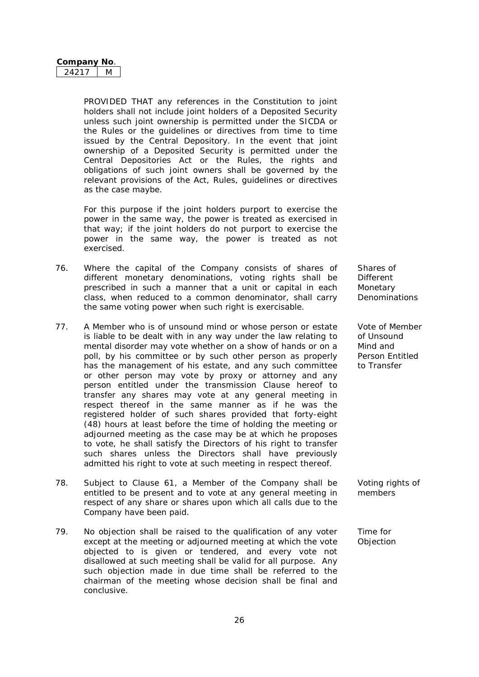PROVIDED THAT any references in the Constitution to joint holders shall not include joint holders of a Deposited Security unless such joint ownership is permitted under the SICDA or the Rules or the guidelines or directives from time to time issued by the Central Depository. In the event that joint ownership of a Deposited Security is permitted under the Central Depositories Act or the Rules, the rights and obligations of such joint owners shall be governed by the relevant provisions of the Act, Rules, guidelines or directives as the case maybe.

For this purpose if the joint holders purport to exercise the power in the same way, the power is treated as exercised in that way; if the joint holders do not purport to exercise the power in the same way, the power is treated as not exercised.

- 76. Where the capital of the Company consists of shares of different monetary denominations, voting rights shall be prescribed in such a manner that a unit or capital in each class, when reduced to a common denominator, shall carry the same voting power when such right is exercisable.
- 77. A Member who is of unsound mind or whose person or estate is liable to be dealt with in any way under the law relating to mental disorder may vote whether on a show of hands or on a poll, by his committee or by such other person as properly has the management of his estate, and any such committee or other person may vote by proxy or attorney and any person entitled under the transmission Clause hereof to transfer any shares may vote at any general meeting in respect thereof in the same manner as if he was the registered holder of such shares provided that forty-eight (48) hours at least before the time of holding the meeting or adjourned meeting as the case may be at which he proposes to vote, he shall satisfy the Directors of his right to transfer such shares unless the Directors shall have previously admitted his right to vote at such meeting in respect thereof.
- 78. Subject to Clause 61, a Member of the Company shall be entitled to be present and to vote at any general meeting in respect of any share or shares upon which all calls due to the Company have been paid.
- 79. No objection shall be raised to the qualification of any voter except at the meeting or adjourned meeting at which the vote objected to is given or tendered, and every vote not disallowed at such meeting shall be valid for all purpose. Any such objection made in due time shall be referred to the chairman of the meeting whose decision shall be final and conclusive.

Shares of Different Monetary Denominations

Vote of Member of Unsound Mind and Person Entitled to Transfer

Voting rights of members

Time for **Objection**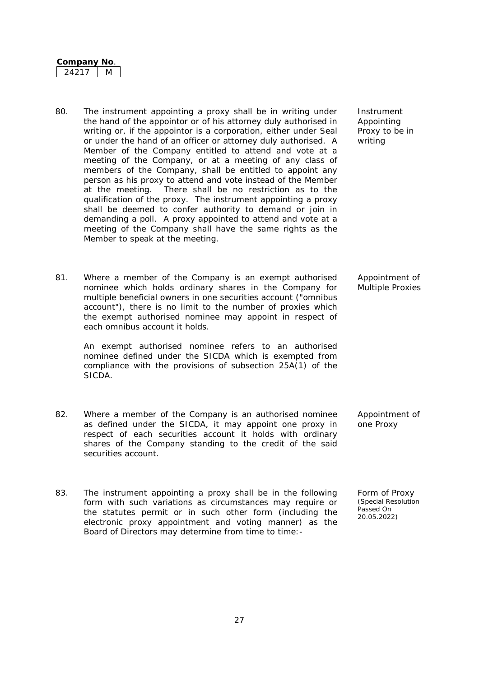| Company No |  |
|------------|--|
| オフェ        |  |

- 80. The instrument appointing a proxy shall be in writing under the hand of the appointor or of his attorney duly authorised in writing or, if the appointor is a corporation, either under Seal or under the hand of an officer or attorney duly authorised. A Member of the Company entitled to attend and vote at a meeting of the Company, or at a meeting of any class of members of the Company, shall be entitled to appoint any person as his proxy to attend and vote instead of the Member at the meeting. There shall be no restriction as to the qualification of the proxy. The instrument appointing a proxy shall be deemed to confer authority to demand or join in demanding a poll. A proxy appointed to attend and vote at a meeting of the Company shall have the same rights as the Member to speak at the meeting.
- 81. Where a member of the Company is an exempt authorised nominee which holds ordinary shares in the Company for multiple beneficial owners in one securities account ("omnibus account"), there is no limit to the number of proxies which the exempt authorised nominee may appoint in respect of each omnibus account it holds.

An exempt authorised nominee refers to an authorised nominee defined under the SICDA which is exempted from compliance with the provisions of subsection 25A(1) of the SICDA.

- 82. Where a member of the Company is an authorised nominee as defined under the SICDA, it may appoint one proxy in respect of each securities account it holds with ordinary shares of the Company standing to the credit of the said securities account. one Proxy
- 83. The instrument appointing a proxy shall be in the following form with such variations as circumstances may require or the statutes permit or in such other form (including the electronic proxy appointment and voting manner) as the Board of Directors may determine from time to time:-

writing

Instrument Appointing Proxy to be in

Appointment of Multiple Proxies

Appointment of

Form of Proxy *(Special Resolution Passed On 20.05.2022)*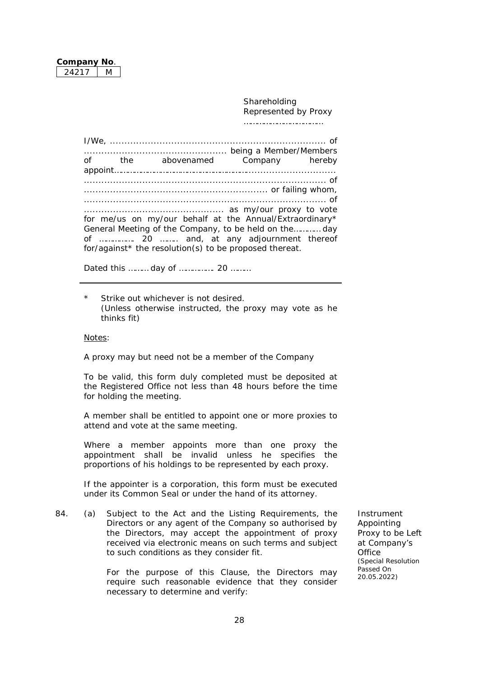Shareholding Represented by Proxy ………………………………

I/We, .......................................................................... of ................................................. being a Member/Members of the abovenamed Company hereby appoint……………………………………………………............................... ................................................................................... of ............................................................... or failing whom, ................................................................................... of ................................................ as my/our proxy to vote for me/us on my/our behalf at the Annual/Extraordinary\* General Meeting of the Company, to be held on the………… day of ……………. 20 …….. and, at any adjournment thereof for/against\* the resolution(s) to be proposed thereat.

Dated this ……… day of ……………. 20 ………

*\* Strike out whichever is not desired. (Unless otherwise instructed, the proxy may vote as he thinks fit)*

*Notes:*

*A proxy may but need not be a member of the Company*

*To be valid, this form duly completed must be deposited at the Registered Office not less than 48 hours before the time for holding the meeting.*

*A member shall be entitled to appoint one or more proxies to attend and vote at the same meeting.*

*Where a member appoints more than one proxy the appointment shall be invalid unless he specifies the proportions of his holdings to be represented by each proxy.*

*If the appointer is a corporation, this form must be executed under its Common Seal or under the hand of its attorney.*

84. (a) Subject to the Act and the Listing Requirements, the Directors or any agent of the Company so authorised by the Directors, may accept the appointment of proxy received via electronic means on such terms and subject to such conditions as they consider fit.

> For the purpose of this Clause, the Directors may require such reasonable evidence that they consider necessary to determine and verify:

Instrument Appointing Proxy to be Left at Company's **Office** *(Special Resolution Passed On 20.05.2022)*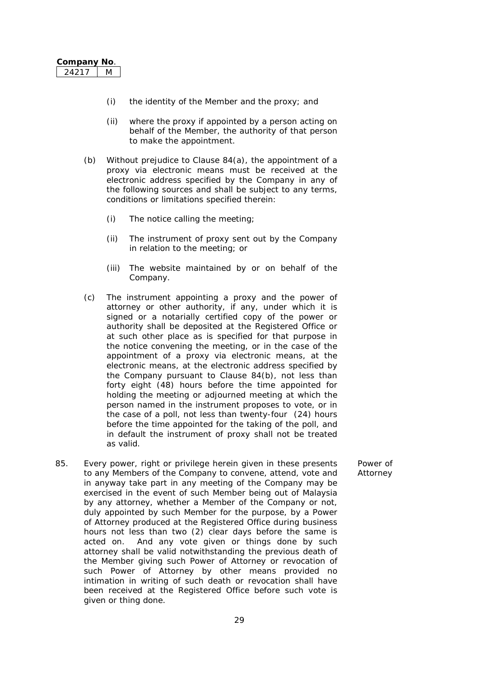- (i) the identity of the Member and the proxy; and
- (ii) where the proxy if appointed by a person acting on behalf of the Member, the authority of that person to make the appointment.
- (b) Without prejudice to Clause 84(a), the appointment of a proxy via electronic means must be received at the electronic address specified by the Company in any of the following sources and shall be subject to any terms, conditions or limitations specified therein:
	- (i) The notice calling the meeting;
	- (ii) The instrument of proxy sent out by the Company in relation to the meeting; or
	- (iii) The website maintained by or on behalf of the Company.
- (c) The instrument appointing a proxy and the power of attorney or other authority, if any, under which it is signed or a notarially certified copy of the power or authority shall be deposited at the Registered Office or at such other place as is specified for that purpose in the notice convening the meeting, or in the case of the appointment of a proxy via electronic means, at the electronic means, at the electronic address specified by the Company pursuant to Clause 84(b), not less than forty eight (48) hours before the time appointed for holding the meeting or adjourned meeting at which the person named in the instrument proposes to vote, or in the case of a poll, not less than twenty-four (24) hours before the time appointed for the taking of the poll, and in default the instrument of proxy shall not be treated as valid.
- 85. Every power, right or privilege herein given in these presents to any Members of the Company to convene, attend, vote and in anyway take part in any meeting of the Company may be exercised in the event of such Member being out of Malaysia by any attorney, whether a Member of the Company or not, duly appointed by such Member for the purpose, by a Power of Attorney produced at the Registered Office during business hours not less than two (2) clear days before the same is acted on. And any vote given or things done by such attorney shall be valid notwithstanding the previous death of the Member giving such Power of Attorney or revocation of such Power of Attorney by other means provided no intimation in writing of such death or revocation shall have been received at the Registered Office before such vote is given or thing done.

Power of Attorney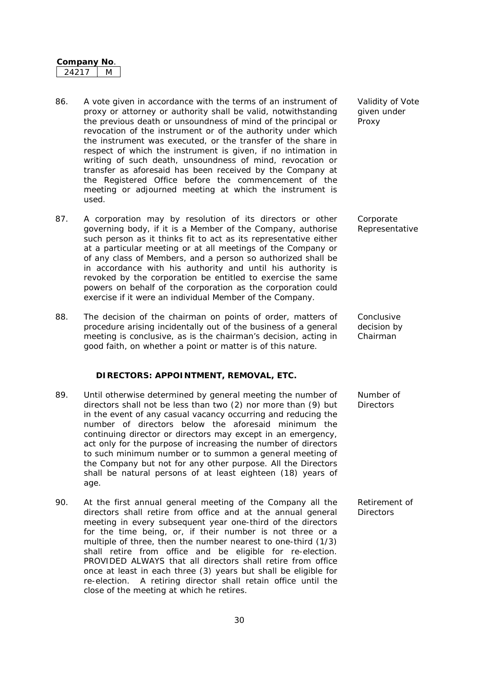- 86. A vote given in accordance with the terms of an instrument of proxy or attorney or authority shall be valid, notwithstanding the previous death or unsoundness of mind of the principal or revocation of the instrument or of the authority under which the instrument was executed, or the transfer of the share in respect of which the instrument is given, if no intimation in writing of such death, unsoundness of mind, revocation or transfer as aforesaid has been received by the Company at the Registered Office before the commencement of the meeting or adjourned meeting at which the instrument is used.
- 87. A corporation may by resolution of its directors or other governing body, if it is a Member of the Company, authorise such person as it thinks fit to act as its representative either at a particular meeting or at all meetings of the Company or of any class of Members, and a person so authorized shall be in accordance with his authority and until his authority is revoked by the corporation be entitled to exercise the same powers on behalf of the corporation as the corporation could exercise if it were an individual Member of the Company.
- 88. The decision of the chairman on points of order, matters of procedure arising incidentally out of the business of a general meeting is conclusive, as is the chairman's decision, acting in good faith, on whether a point or matter is of this nature.

#### **DIRECTORS: APPOINTMENT, REMOVAL, ETC.**

- 89. Until otherwise determined by general meeting the number of directors shall not be less than two (2) nor more than (9) but in the event of any casual vacancy occurring and reducing the number of directors below the aforesaid minimum the continuing director or directors may except in an emergency, act only for the purpose of increasing the number of directors to such minimum number or to summon a general meeting of the Company but not for any other purpose. All the Directors shall be natural persons of at least eighteen (18) years of age.
- 90. At the first annual general meeting of the Company all the directors shall retire from office and at the annual general meeting in every subsequent year one-third of the directors for the time being, or, if their number is not three or a multiple of three, then the number nearest to one-third (1/3) shall retire from office and be eligible for re-election. PROVIDED ALWAYS that all directors shall retire from office once at least in each three (3) years but shall be eligible for re-election. A retiring director shall retain office until the close of the meeting at which he retires. **Directors**

Validity of Vote given under Proxy

**Corporate** Representative

Conclusive decision by Chairman

Number of **Directors** 

Retirement of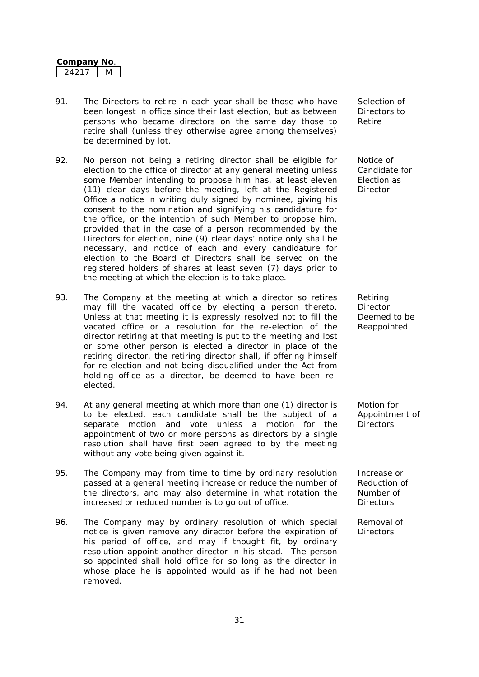- 91. The Directors to retire in each year shall be those who have been longest in office since their last election, but as between persons who became directors on the same day those to retire shall (unless they otherwise agree among themselves) be determined by lot.
- 92. No person not being a retiring director shall be eligible for election to the office of director at any general meeting unless some Member intending to propose him has, at least eleven (11) clear days before the meeting, left at the Registered Office a notice in writing duly signed by nominee, giving his consent to the nomination and signifying his candidature for the office, or the intention of such Member to propose him, provided that in the case of a person recommended by the Directors for election, nine (9) clear days' notice only shall be necessary, and notice of each and every candidature for election to the Board of Directors shall be served on the registered holders of shares at least seven (7) days prior to the meeting at which the election is to take place.
- 93. The Company at the meeting at which a director so retires may fill the vacated office by electing a person thereto. Unless at that meeting it is expressly resolved not to fill the vacated office or a resolution for the re-election of the director retiring at that meeting is put to the meeting and lost or some other person is elected a director in place of the retiring director, the retiring director shall, if offering himself for re-election and not being disqualified under the Act from holding office as a director, be deemed to have been reelected.
- 94. At any general meeting at which more than one (1) director is to be elected, each candidate shall be the subject of a separate motion and vote unless a motion for the appointment of two or more persons as directors by a single resolution shall have first been agreed to by the meeting without any vote being given against it.
- 95. The Company may from time to time by ordinary resolution passed at a general meeting increase or reduce the number of the directors, and may also determine in what rotation the increased or reduced number is to go out of office.
- 96. The Company may by ordinary resolution of which special notice is given remove any director before the expiration of his period of office, and may if thought fit, by ordinary resolution appoint another director in his stead. The person so appointed shall hold office for so long as the director in whose place he is appointed would as if he had not been removed.

Selection of Directors to Retire

Notice of Candidate for Election as **Director** 

Retiring Director Deemed to be Reappointed

Motion for Appointment of **Directors** 

Increase or Reduction of Number of **Directors** 

Removal of **Directors**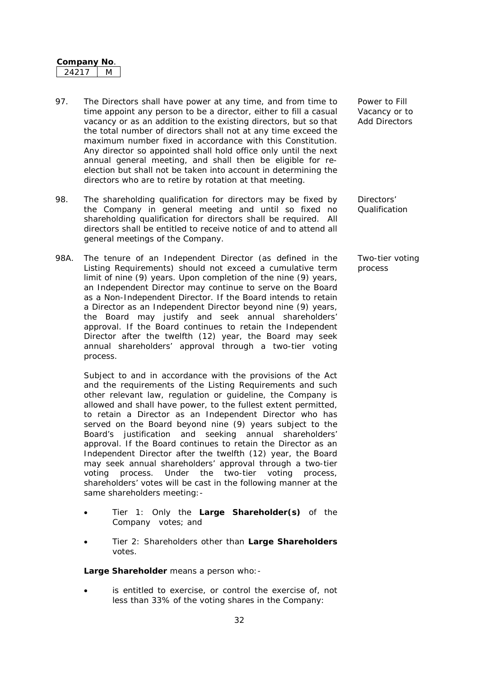- 97. The Directors shall have power at any time, and from time to time appoint any person to be a director, either to fill a casual vacancy or as an addition to the existing directors, but so that the total number of directors shall not at any time exceed the maximum number fixed in accordance with this Constitution. Any director so appointed shall hold office only until the next annual general meeting, and shall then be eligible for reelection but shall not be taken into account in determining the directors who are to retire by rotation at that meeting.
- 98. The shareholding qualification for directors may be fixed by the Company in general meeting and until so fixed no shareholding qualification for directors shall be required. All directors shall be entitled to receive notice of and to attend all general meetings of the Company.
- 98A. The tenure of an Independent Director (as defined in the Listing Requirements) should not exceed a cumulative term limit of nine (9) years. Upon completion of the nine (9) years, an Independent Director may continue to serve on the Board as a Non-Independent Director. If the Board intends to retain a Director as an Independent Director beyond nine (9) years, the Board may justify and seek annual shareholders' approval. If the Board continues to retain the Independent Director after the twelfth (12) year, the Board may seek annual shareholders' approval through a two-tier voting process.

Subject to and in accordance with the provisions of the Act and the requirements of the Listing Requirements and such other relevant law, regulation or guideline, the Company is allowed and shall have power, to the fullest extent permitted, to retain a Director as an Independent Director who has served on the Board beyond nine (9) years subject to the Board's justification and seeking annual shareholders' approval. If the Board continues to retain the Director as an Independent Director after the twelfth (12) year, the Board may seek annual shareholders' approval through a two-tier voting process. Under the two-tier voting process, shareholders' votes will be cast in the following manner at the same shareholders meeting:-

- Tier 1: Only the **Large Shareholder(s)** of the Company votes; and
- Tier 2: Shareholders other than **Large Shareholders**  votes.

**Large Shareholder** means a person who:-

is entitled to exercise, or control the exercise of, not less than 33% of the voting shares in the Company:

Power to Fill Vacancy or to Add Directors

Directors' Qualification

Two-tier voting process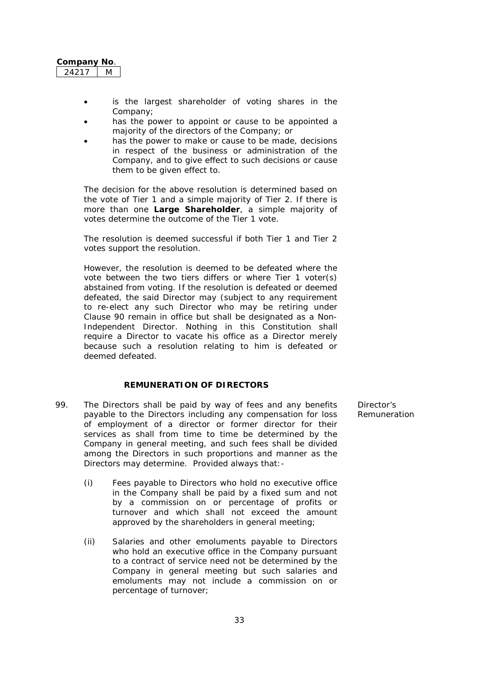| <b>Company No</b> |  |
|-------------------|--|
| 42 T              |  |

- is the largest shareholder of voting shares in the Company;
- has the power to appoint or cause to be appointed a majority of the directors of the Company; or
- has the power to make or cause to be made, decisions in respect of the business or administration of the Company, and to give effect to such decisions or cause them to be given effect to.

The decision for the above resolution is determined based on the vote of Tier 1 and a simple majority of Tier 2. If there is more than one **Large Shareholder**, a simple majority of votes determine the outcome of the Tier 1 vote.

The resolution is deemed successful if both Tier 1 and Tier 2 votes support the resolution.

However, the resolution is deemed to be defeated where the vote between the two tiers differs or where Tier 1 voter(s) abstained from voting. If the resolution is defeated or deemed defeated, the said Director may (subject to any requirement to re-elect any such Director who may be retiring under Clause 90 remain in office but shall be designated as a Non-Independent Director. Nothing in this Constitution shall require a Director to vacate his office as a Director merely because such a resolution relating to him is defeated or deemed defeated.

## **REMUNERATION OF DIRECTORS**

- 99. The Directors shall be paid by way of fees and any benefits payable to the Directors including any compensation for loss of employment of a director or former director for their services as shall from time to time be determined by the Company in general meeting, and such fees shall be divided among the Directors in such proportions and manner as the Directors may determine. Provided always that:-
	- (i) Fees payable to Directors who hold no executive office in the Company shall be paid by a fixed sum and not by a commission on or percentage of profits or turnover and which shall not exceed the amount approved by the shareholders in general meeting;
	- (ii) Salaries and other emoluments payable to Directors who hold an executive office in the Company pursuant to a contract of service need not be determined by the Company in general meeting but such salaries and emoluments may not include a commission on or percentage of turnover;

Director's Remuneration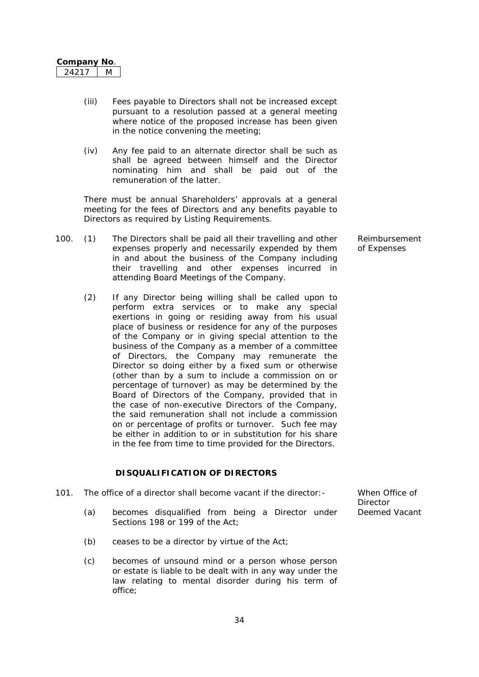- (iii) Fees payable to Directors shall not be increased except pursuant to a resolution passed at a general meeting where notice of the proposed increase has been given in the notice convening the meeting;
- (iv) Any fee paid to an alternate director shall be such as shall be agreed between himself and the Director nominating him and shall be paid out of the remuneration of the latter.

There must be annual Shareholders' approvals at a general meeting for the fees of Directors and any benefits payable to Directors as required by Listing Requirements.

- 100. (1) The Directors shall be paid all their travelling and other expenses properly and necessarily expended by them in and about the business of the Company including their travelling and other expenses incurred in attending Board Meetings of the Company.
	- (2) If any Director being willing shall be called upon to perform extra services or to make any special exertions in going or residing away from his usual place of business or residence for any of the purposes of the Company or in giving special attention to the business of the Company as a member of a committee of Directors, the Company may remunerate the Director so doing either by a fixed sum or otherwise (other than by a sum to include a commission on or percentage of turnover) as may be determined by the Board of Directors of the Company, provided that in the case of non-executive Directors of the Company, the said remuneration shall not include a commission on or percentage of profits or turnover. Such fee may be either in addition to or in substitution for his share in the fee from time to time provided for the Directors.

#### **DISQUALIFICATION OF DIRECTORS**

| 101. |     | The office of a director shall become vacant if the director: |  |  | When Office of |
|------|-----|---------------------------------------------------------------|--|--|----------------|
|      |     |                                                               |  |  | Director       |
|      | (a) | becomes disqualified from being a Director under              |  |  | Deemed Vacant  |
|      |     | Sections 198 or 199 of the Act:                               |  |  |                |

- (b) ceases to be a director by virtue of the Act;
- (c) becomes of unsound mind or a person whose person or estate is liable to be dealt with in any way under the law relating to mental disorder during his term of office;

Reimbursement of Expenses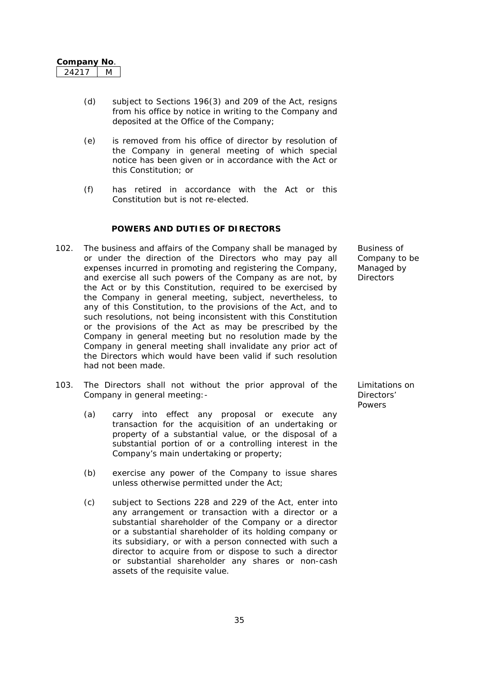- (d) subject to Sections 196(3) and 209 of the Act, resigns from his office by notice in writing to the Company and deposited at the Office of the Company;
- (e) is removed from his office of director by resolution of the Company in general meeting of which special notice has been given or in accordance with the Act or this Constitution; or
- (f) has retired in accordance with the Act or this Constitution but is not re-elected.

### **POWERS AND DUTIES OF DIRECTORS**

- 102. The business and affairs of the Company shall be managed by or under the direction of the Directors who may pay all expenses incurred in promoting and registering the Company, and exercise all such powers of the Company as are not, by the Act or by this Constitution, required to be exercised by the Company in general meeting, subject, nevertheless, to any of this Constitution, to the provisions of the Act, and to such resolutions, not being inconsistent with this Constitution or the provisions of the Act as may be prescribed by the Company in general meeting but no resolution made by the Company in general meeting shall invalidate any prior act of the Directors which would have been valid if such resolution had not been made.
- 103. The Directors shall not without the prior approval of the Company in general meeting:-
	- (a) carry into effect any proposal or execute any transaction for the acquisition of an undertaking or property of a substantial value, or the disposal of a substantial portion of or a controlling interest in the Company's main undertaking or property;
	- (b) exercise any power of the Company to issue shares unless otherwise permitted under the Act;
	- (c) subject to Sections 228 and 229 of the Act, enter into any arrangement or transaction with a director or a substantial shareholder of the Company or a director or a substantial shareholder of its holding company or its subsidiary, or with a person connected with such a director to acquire from or dispose to such a director or substantial shareholder any shares or non-cash assets of the requisite value.

Business of Company to be Managed by **Directors** 

Limitations on Directors' **Powers**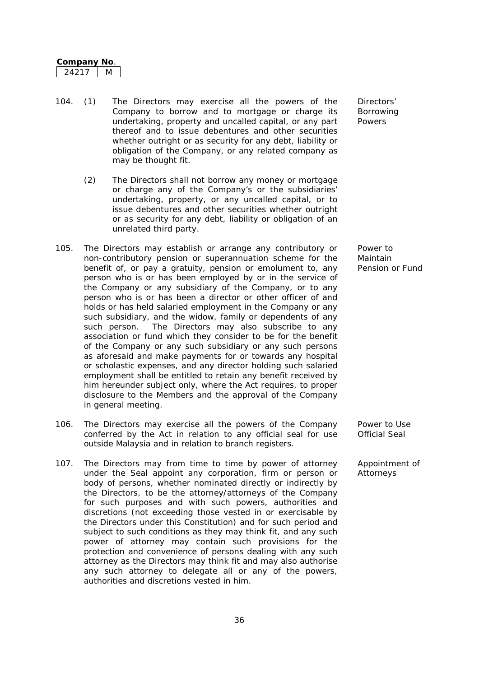| <b>Company No</b> |  |
|-------------------|--|
| ΄)<br>471         |  |

- 104. (1) The Directors may exercise all the powers of the Company to borrow and to mortgage or charge its undertaking, property and uncalled capital, or any part thereof and to issue debentures and other securities whether outright or as security for any debt, liability or obligation of the Company, or any related company as may be thought fit.
	- (2) The Directors shall not borrow any money or mortgage or charge any of the Company's or the subsidiaries' undertaking, property, or any uncalled capital, or to issue debentures and other securities whether outright or as security for any debt, liability or obligation of an unrelated third party.
- 105. The Directors may establish or arrange any contributory or non-contributory pension or superannuation scheme for the benefit of, or pay a gratuity, pension or emolument to, any person who is or has been employed by or in the service of the Company or any subsidiary of the Company, or to any person who is or has been a director or other officer of and holds or has held salaried employment in the Company or any such subsidiary, and the widow, family or dependents of any such person. The Directors may also subscribe to any association or fund which they consider to be for the benefit of the Company or any such subsidiary or any such persons as aforesaid and make payments for or towards any hospital or scholastic expenses, and any director holding such salaried employment shall be entitled to retain any benefit received by him hereunder subject only, where the Act requires, to proper disclosure to the Members and the approval of the Company in general meeting.
- 106. The Directors may exercise all the powers of the Company conferred by the Act in relation to any official seal for use outside Malaysia and in relation to branch registers.
- 107. The Directors may from time to time by power of attorney under the Seal appoint any corporation, firm or person or body of persons, whether nominated directly or indirectly by the Directors, to be the attorney/attorneys of the Company for such purposes and with such powers, authorities and discretions (not exceeding those vested in or exercisable by the Directors under this Constitution) and for such period and subject to such conditions as they may think fit, and any such power of attorney may contain such provisions for the protection and convenience of persons dealing with any such attorney as the Directors may think fit and may also authorise any such attorney to delegate all or any of the powers, authorities and discretions vested in him.

Directors' Borrowing Powers

Power to Maintain Pension or Fund

Power to Use Official Seal

Appointment of Attorneys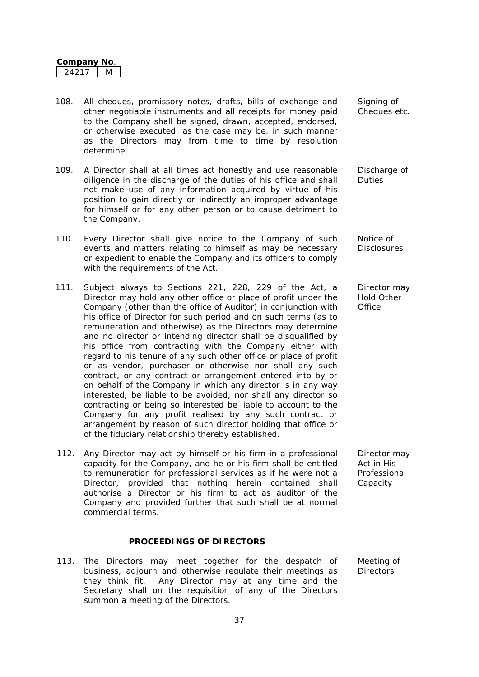- 108. All cheques, promissory notes, drafts, bills of exchange and other negotiable instruments and all receipts for money paid to the Company shall be signed, drawn, accepted, endorsed, or otherwise executed, as the case may be, in such manner as the Directors may from time to time by resolution determine.
- 109. A Director shall at all times act honestly and use reasonable diligence in the discharge of the duties of his office and shall not make use of any information acquired by virtue of his position to gain directly or indirectly an improper advantage for himself or for any other person or to cause detriment to the Company.
- 110. Every Director shall give notice to the Company of such events and matters relating to himself as may be necessary or expedient to enable the Company and its officers to comply with the requirements of the Act.
- 111. Subject always to Sections 221, 228, 229 of the Act, a Director may hold any other office or place of profit under the Company (other than the office of Auditor) in conjunction with his office of Director for such period and on such terms (as to remuneration and otherwise) as the Directors may determine and no director or intending director shall be disqualified by his office from contracting with the Company either with regard to his tenure of any such other office or place of profit or as vendor, purchaser or otherwise nor shall any such contract, or any contract or arrangement entered into by or on behalf of the Company in which any director is in any way interested, be liable to be avoided, nor shall any director so contracting or being so interested be liable to account to the Company for any profit realised by any such contract or arrangement by reason of such director holding that office or of the fiduciary relationship thereby established.
- 112. Any Director may act by himself or his firm in a professional capacity for the Company, and he or his firm shall be entitled to remuneration for professional services as if he were not a Director, provided that nothing herein contained shall authorise a Director or his firm to act as auditor of the Company and provided further that such shall be at normal commercial terms.

## **PROCEEDINGS OF DIRECTORS**

113. The Directors may meet together for the despatch of business, adjourn and otherwise regulate their meetings as they think fit. Any Director may at any time and the Secretary shall on the requisition of any of the Directors summon a meeting of the Directors.

Signing of Cheques etc.

Discharge of Duties

Notice of **Disclosures** 

Director may Hold Other **Office** 

Director may Act in His Professional Capacity

Meeting of **Directors**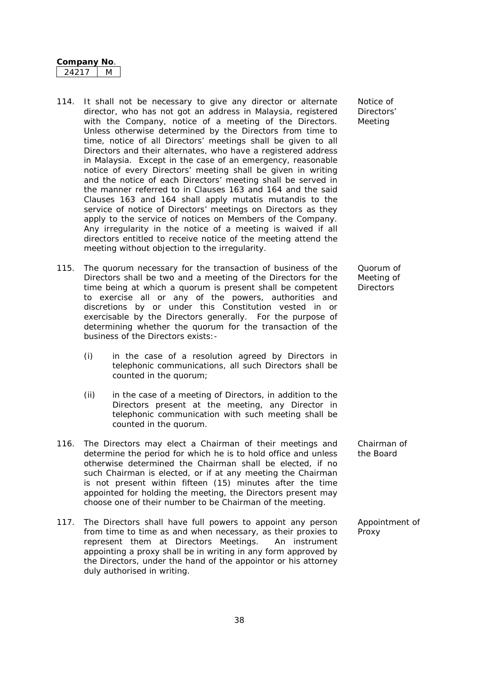- 114. It shall not be necessary to give any director or alternate director, who has not got an address in Malaysia, registered with the Company, notice of a meeting of the Directors. Unless otherwise determined by the Directors from time to time, notice of all Directors' meetings shall be given to all Directors and their alternates, who have a registered address in Malaysia. Except in the case of an emergency, reasonable notice of every Directors' meeting shall be given in writing and the notice of each Directors' meeting shall be served in the manner referred to in Clauses 163 and 164 and the said Clauses 163 and 164 shall apply mutatis mutandis to the service of notice of Directors' meetings on Directors as they apply to the service of notices on Members of the Company. Any irregularity in the notice of a meeting is waived if all directors entitled to receive notice of the meeting attend the meeting without objection to the irregularity.
- 115. The quorum necessary for the transaction of business of the Directors shall be two and a meeting of the Directors for the time being at which a quorum is present shall be competent to exercise all or any of the powers, authorities and discretions by or under this Constitution vested in or exercisable by the Directors generally. For the purpose of determining whether the quorum for the transaction of the business of the Directors exists:-
	- (i) in the case of a resolution agreed by Directors in telephonic communications, all such Directors shall be counted in the quorum;
	- (ii) in the case of a meeting of Directors, in addition to the Directors present at the meeting, any Director in telephonic communication with such meeting shall be counted in the quorum.
- 116. The Directors may elect a Chairman of their meetings and determine the period for which he is to hold office and unless otherwise determined the Chairman shall be elected, if no such Chairman is elected, or if at any meeting the Chairman is not present within fifteen (15) minutes after the time appointed for holding the meeting, the Directors present may choose one of their number to be Chairman of the meeting.
- 117. The Directors shall have full powers to appoint any person from time to time as and when necessary, as their proxies to represent them at Directors Meetings. An instrument appointing a proxy shall be in writing in any form approved by the Directors, under the hand of the appointor or his attorney duly authorised in writing.

Notice of Directors' Meeting

Quorum of Meeting of **Directors** 

Chairman of the Board

Appointment of Proxy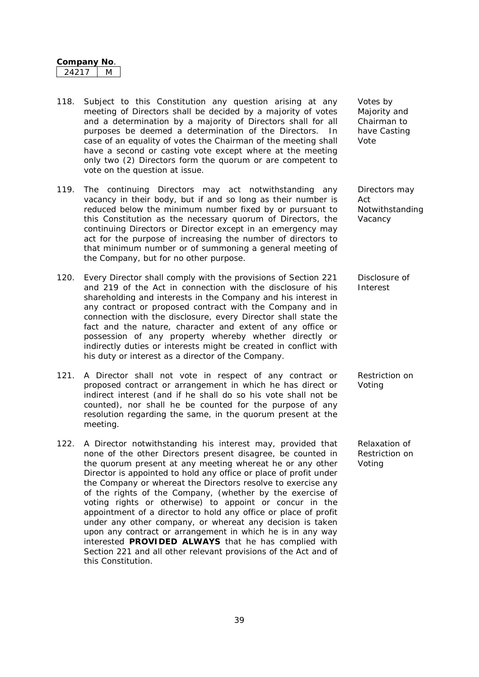- 118. Subject to this Constitution any question arising at any meeting of Directors shall be decided by a majority of votes and a determination by a majority of Directors shall for all purposes be deemed a determination of the Directors. In case of an equality of votes the Chairman of the meeting shall have a second or casting vote except where at the meeting only two (2) Directors form the quorum or are competent to vote on the question at issue.
- 119. The continuing Directors may act notwithstanding any vacancy in their body, but if and so long as their number is reduced below the minimum number fixed by or pursuant to this Constitution as the necessary quorum of Directors, the continuing Directors or Director except in an emergency may act for the purpose of increasing the number of directors to that minimum number or of summoning a general meeting of the Company, but for no other purpose.
- 120. Every Director shall comply with the provisions of Section 221 and 219 of the Act in connection with the disclosure of his shareholding and interests in the Company and his interest in any contract or proposed contract with the Company and in connection with the disclosure, every Director shall state the fact and the nature, character and extent of any office or possession of any property whereby whether directly or indirectly duties or interests might be created in conflict with his duty or interest as a director of the Company.
- 121. A Director shall not vote in respect of any contract or proposed contract or arrangement in which he has direct or indirect interest (and if he shall do so his vote shall not be counted), nor shall he be counted for the purpose of any resolution regarding the same, in the quorum present at the meeting.
- 122. A Director notwithstanding his interest may, provided that none of the other Directors present disagree, be counted in the quorum present at any meeting whereat he or any other Director is appointed to hold any office or place of profit under the Company or whereat the Directors resolve to exercise any of the rights of the Company, (whether by the exercise of voting rights or otherwise) to appoint or concur in the appointment of a director to hold any office or place of profit under any other company, or whereat any decision is taken upon any contract or arrangement in which he is in any way interested **PROVIDED ALWAYS** that he has complied with Section 221 and all other relevant provisions of the Act and of this Constitution.

Votes by Majority and Chairman to have Casting Vote

Directors may Act Notwithstanding Vacancy

Disclosure of Interest

Restriction on Voting

Relaxation of Restriction on Voting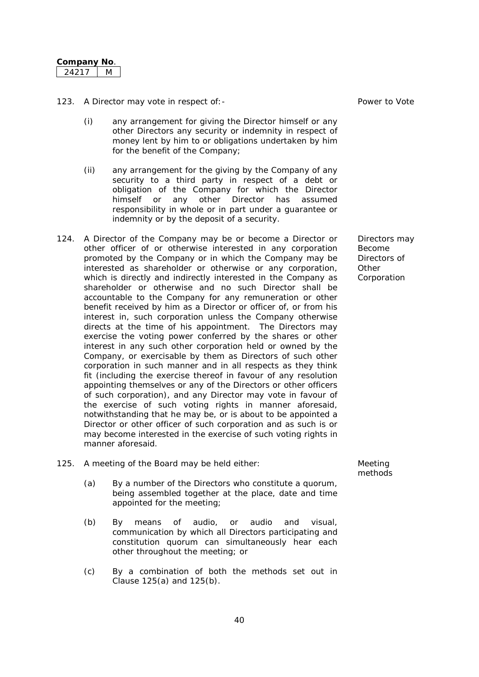| Company I | NΩ |
|-----------|----|
|           |    |

- 123. A Director may vote in respect of:- Power to Vote
	- (i) any arrangement for giving the Director himself or any other Directors any security or indemnity in respect of money lent by him to or obligations undertaken by him for the benefit of the Company;
	- (ii) any arrangement for the giving by the Company of any security to a third party in respect of a debt or obligation of the Company for which the Director himself or any other Director has assumed responsibility in whole or in part under a guarantee or indemnity or by the deposit of a security.
- 124. A Director of the Company may be or become a Director or other officer of or otherwise interested in any corporation promoted by the Company or in which the Company may be interested as shareholder or otherwise or any corporation, which is directly and indirectly interested in the Company as shareholder or otherwise and no such Director shall be accountable to the Company for any remuneration or other benefit received by him as a Director or officer of, or from his interest in, such corporation unless the Company otherwise directs at the time of his appointment. The Directors may exercise the voting power conferred by the shares or other interest in any such other corporation held or owned by the Company, or exercisable by them as Directors of such other corporation in such manner and in all respects as they think fit (including the exercise thereof in favour of any resolution appointing themselves or any of the Directors or other officers of such corporation), and any Director may vote in favour of the exercise of such voting rights in manner aforesaid, notwithstanding that he may be, or is about to be appointed a Director or other officer of such corporation and as such is or may become interested in the exercise of such voting rights in manner aforesaid.
- 125. A meeting of the Board may be held either: Meeting
	- (a) By a number of the Directors who constitute a quorum, being assembled together at the place, date and time appointed for the meeting;
	- (b) By means of audio, or audio and visual, communication by which all Directors participating and constitution quorum can simultaneously hear each other throughout the meeting; or
	- (c) By a combination of both the methods set out in Clause 125(a) and 125(b).

methods

Directors may Become Directors of **Other** Corporation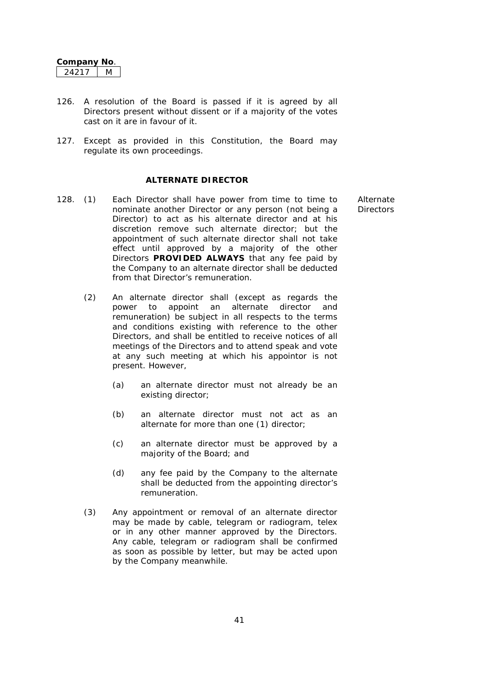- 126. A resolution of the Board is passed if it is agreed by all Directors present without dissent or if a majority of the votes cast on it are in favour of it.
- 127. Except as provided in this Constitution, the Board may regulate its own proceedings.

#### **ALTERNATE DIRECTOR**

- 128. (1) Each Director shall have power from time to time to nominate another Director or any person (not being a Director) to act as his alternate director and at his discretion remove such alternate director; but the appointment of such alternate director shall not take effect until approved by a majority of the other Directors **PROVIDED ALWAYS** that any fee paid by the Company to an alternate director shall be deducted from that Director's remuneration.
	- (2) An alternate director shall (except as regards the power to appoint an alternate director and remuneration) be subject in all respects to the terms and conditions existing with reference to the other Directors, and shall be entitled to receive notices of all meetings of the Directors and to attend speak and vote at any such meeting at which his appointor is not present. However,
		- (a) an alternate director must not already be an existing director;
		- (b) an alternate director must not act as an alternate for more than one (1) director;
		- (c) an alternate director must be approved by a majority of the Board; and
		- (d) any fee paid by the Company to the alternate shall be deducted from the appointing director's remuneration.
	- (3) Any appointment or removal of an alternate director may be made by cable, telegram or radiogram, telex or in any other manner approved by the Directors. Any cable, telegram or radiogram shall be confirmed as soon as possible by letter, but may be acted upon by the Company meanwhile.

Alternate **Directors**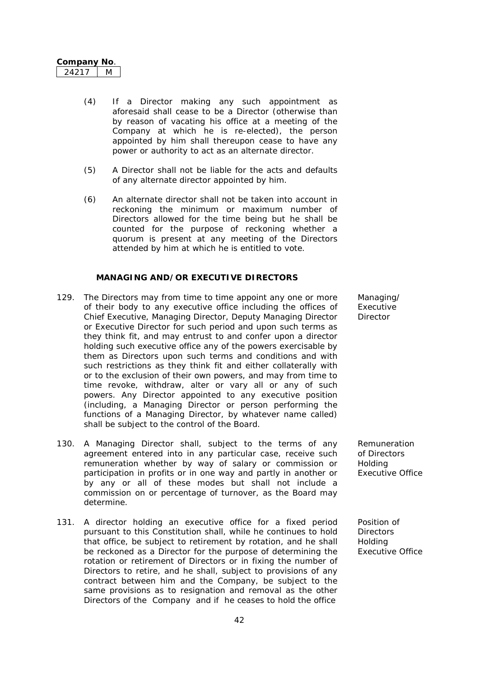| ompanv | הוא |
|--------|-----|
|        |     |

- (4) If a Director making any such appointment as aforesaid shall cease to be a Director (otherwise than by reason of vacating his office at a meeting of the Company at which he is re-elected), the person appointed by him shall thereupon cease to have any power or authority to act as an alternate director.
- (5) A Director shall not be liable for the acts and defaults of any alternate director appointed by him.
- (6) An alternate director shall not be taken into account in reckoning the minimum or maximum number of Directors allowed for the time being but he shall be counted for the purpose of reckoning whether a quorum is present at any meeting of the Directors attended by him at which he is entitled to vote.

## **MANAGING AND/OR EXECUTIVE DIRECTORS**

- 129. The Directors may from time to time appoint any one or more of their body to any executive office including the offices of Chief Executive, Managing Director, Deputy Managing Director or Executive Director for such period and upon such terms as they think fit, and may entrust to and confer upon a director holding such executive office any of the powers exercisable by them as Directors upon such terms and conditions and with such restrictions as they think fit and either collaterally with or to the exclusion of their own powers, and may from time to time revoke, withdraw, alter or vary all or any of such powers. Any Director appointed to any executive position (including, a Managing Director or person performing the functions of a Managing Director, by whatever name called) shall be subject to the control of the Board.
- 130. A Managing Director shall, subject to the terms of any agreement entered into in any particular case, receive such remuneration whether by way of salary or commission or participation in profits or in one way and partly in another or by any or all of these modes but shall not include a commission on or percentage of turnover, as the Board may determine.
- 131. A director holding an executive office for a fixed period pursuant to this Constitution shall, while he continues to hold that office, be subject to retirement by rotation, and he shall be reckoned as a Director for the purpose of determining the rotation or retirement of Directors or in fixing the number of Directors to retire, and he shall, subject to provisions of any contract between him and the Company, be subject to the same provisions as to resignation and removal as the other Directors of the Company and if he ceases to hold the office

Managing/ Executive **Director** 

Remuneration of Directors Holding Executive Office

Position of **Directors** Holding Executive Office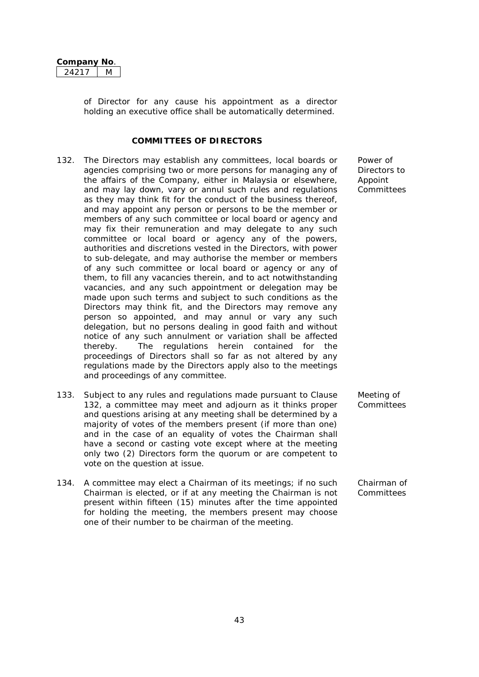| Company | Nω |
|---------|----|
| コワコ     |    |

of Director for any cause his appointment as a director holding an executive office shall be automatically determined.

## **COMMITTEES OF DIRECTORS**

- 132. The Directors may establish any committees, local boards or agencies comprising two or more persons for managing any of the affairs of the Company, either in Malaysia or elsewhere, and may lay down, vary or annul such rules and regulations as they may think fit for the conduct of the business thereof, and may appoint any person or persons to be the member or members of any such committee or local board or agency and may fix their remuneration and may delegate to any such committee or local board or agency any of the powers, authorities and discretions vested in the Directors, with power to sub-delegate, and may authorise the member or members of any such committee or local board or agency or any of them, to fill any vacancies therein, and to act notwithstanding vacancies, and any such appointment or delegation may be made upon such terms and subject to such conditions as the Directors may think fit, and the Directors may remove any person so appointed, and may annul or vary any such delegation, but no persons dealing in good faith and without notice of any such annulment or variation shall be affected thereby. The regulations herein contained for the proceedings of Directors shall so far as not altered by any regulations made by the Directors apply also to the meetings and proceedings of any committee.
- 133. Subject to any rules and regulations made pursuant to Clause 132, a committee may meet and adjourn as it thinks proper and questions arising at any meeting shall be determined by a majority of votes of the members present (if more than one) and in the case of an equality of votes the Chairman shall have a second or casting vote except where at the meeting only two (2) Directors form the quorum or are competent to vote on the question at issue.
- 134. A committee may elect a Chairman of its meetings; if no such Chairman is elected, or if at any meeting the Chairman is not present within fifteen (15) minutes after the time appointed for holding the meeting, the members present may choose one of their number to be chairman of the meeting.

Power of Directors to Appoint Committees

Meeting of **Committees** 

Chairman of Committees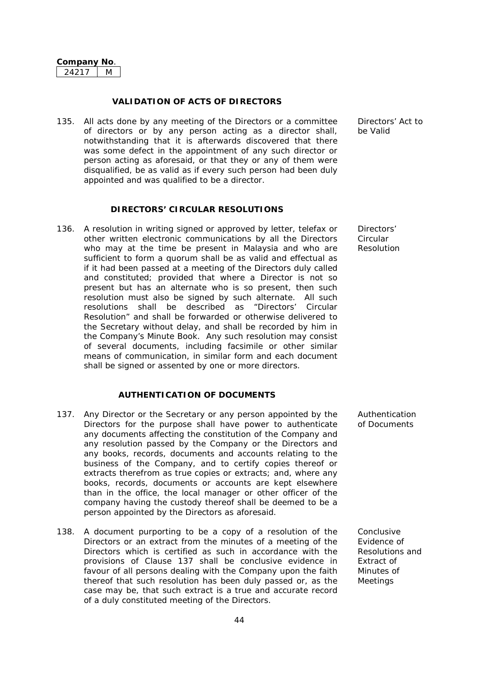#### **VALIDATION OF ACTS OF DIRECTORS**

135. All acts done by any meeting of the Directors or a committee of directors or by any person acting as a director shall, notwithstanding that it is afterwards discovered that there was some defect in the appointment of any such director or person acting as aforesaid, or that they or any of them were disqualified, be as valid as if every such person had been duly appointed and was qualified to be a director.

## **DIRECTORS' CIRCULAR RESOLUTIONS**

136. A resolution in writing signed or approved by letter, telefax or other written electronic communications by all the Directors who may at the time be present in Malaysia and who are sufficient to form a quorum shall be as valid and effectual as if it had been passed at a meeting of the Directors duly called and constituted; provided that where a Director is not so present but has an alternate who is so present, then such resolution must also be signed by such alternate. All such resolutions shall be described as "Directors' Circular Resolution" and shall be forwarded or otherwise delivered to the Secretary without delay, and shall be recorded by him in the Company's Minute Book. Any such resolution may consist of several documents, including facsimile or other similar means of communication, in similar form and each document shall be signed or assented by one or more directors.

### **AUTHENTICATION OF DOCUMENTS**

- 137. Any Director or the Secretary or any person appointed by the Directors for the purpose shall have power to authenticate any documents affecting the constitution of the Company and any resolution passed by the Company or the Directors and any books, records, documents and accounts relating to the business of the Company, and to certify copies thereof or extracts therefrom as true copies or extracts; and, where any books, records, documents or accounts are kept elsewhere than in the office, the local manager or other officer of the company having the custody thereof shall be deemed to be a person appointed by the Directors as aforesaid.
- 138. A document purporting to be a copy of a resolution of the Directors or an extract from the minutes of a meeting of the Directors which is certified as such in accordance with the provisions of Clause 137 shall be conclusive evidence in favour of all persons dealing with the Company upon the faith thereof that such resolution has been duly passed or, as the case may be, that such extract is a true and accurate record of a duly constituted meeting of the Directors.

Directors' Act to be Valid

Directors' Circular Resolution

Authentication of Documents

Conclusive Evidence of Resolutions and Extract of Minutes of Meetings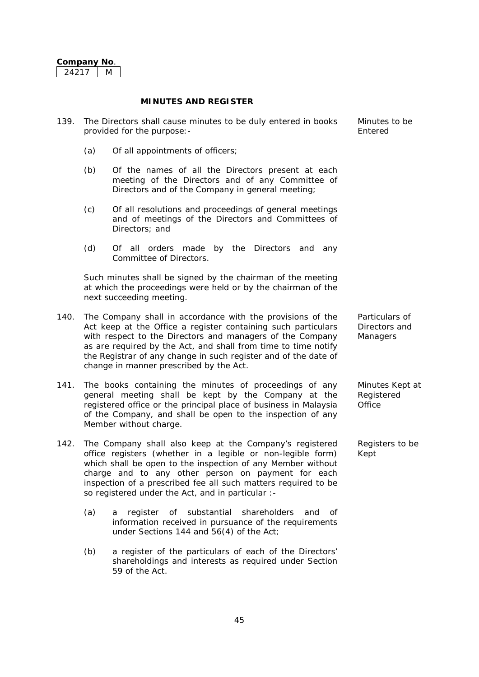#### **MINUTES AND REGISTER**

- 139. The Directors shall cause minutes to be duly entered in books provided for the purpose:-
	- (a) Of all appointments of officers;
	- (b) Of the names of all the Directors present at each meeting of the Directors and of any Committee of Directors and of the Company in general meeting;
	- (c) Of all resolutions and proceedings of general meetings and of meetings of the Directors and Committees of Directors; and
	- (d) Of all orders made by the Directors and any Committee of Directors.

Such minutes shall be signed by the chairman of the meeting at which the proceedings were held or by the chairman of the next succeeding meeting.

- 140. The Company shall in accordance with the provisions of the Act keep at the Office a register containing such particulars with respect to the Directors and managers of the Company as are required by the Act, and shall from time to time notify the Registrar of any change in such register and of the date of change in manner prescribed by the Act.
- 141. The books containing the minutes of proceedings of any general meeting shall be kept by the Company at the registered office or the principal place of business in Malaysia of the Company, and shall be open to the inspection of any Member without charge.
- 142. The Company shall also keep at the Company's registered office registers (whether in a legible or non-legible form) which shall be open to the inspection of any Member without charge and to any other person on payment for each inspection of a prescribed fee all such matters required to be so registered under the Act, and in particular :-
	- (a) a register of substantial shareholders and of information received in pursuance of the requirements under Sections 144 and 56(4) of the Act;
	- (b) a register of the particulars of each of the Directors' shareholdings and interests as required under Section 59 of the Act.

| Minutes to be |  |
|---------------|--|
| Entered       |  |

Particulars of Directors and **Managers** 

Minutes Kept at **Registered** Office

Registers to be Kept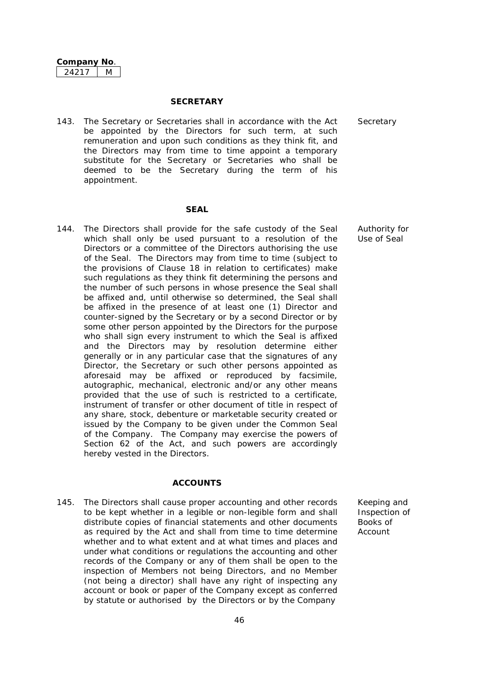#### **SECRETARY**

143. The Secretary or Secretaries shall in accordance with the Act be appointed by the Directors for such term, at such remuneration and upon such conditions as they think fit, and the Directors may from time to time appoint a temporary substitute for the Secretary or Secretaries who shall be deemed to be the Secretary during the term of his appointment.

#### **SEAL**

144. The Directors shall provide for the safe custody of the Seal which shall only be used pursuant to a resolution of the Directors or a committee of the Directors authorising the use of the Seal. The Directors may from time to time (subject to the provisions of Clause 18 in relation to certificates) make such regulations as they think fit determining the persons and the number of such persons in whose presence the Seal shall be affixed and, until otherwise so determined, the Seal shall be affixed in the presence of at least one (1) Director and counter-signed by the Secretary or by a second Director or by some other person appointed by the Directors for the purpose who shall sign every instrument to which the Seal is affixed and the Directors may by resolution determine either generally or in any particular case that the signatures of any Director, the Secretary or such other persons appointed as aforesaid may be affixed or reproduced by facsimile, autographic, mechanical, electronic and/or any other means provided that the use of such is restricted to a certificate, instrument of transfer or other document of title in respect of any share, stock, debenture or marketable security created or issued by the Company to be given under the Common Seal of the Company. The Company may exercise the powers of Section 62 of the Act, and such powers are accordingly hereby vested in the Directors.

#### **ACCOUNTS**

145. The Directors shall cause proper accounting and other records to be kept whether in a legible or non-legible form and shall distribute copies of financial statements and other documents as required by the Act and shall from time to time determine whether and to what extent and at what times and places and under what conditions or regulations the accounting and other records of the Company or any of them shall be open to the inspection of Members not being Directors, and no Member (not being a director) shall have any right of inspecting any account or book or paper of the Company except as conferred by statute or authorised by the Directors or by the Company

**Secretary** 

Authority for Use of Seal

Keeping and Inspection of Books of Account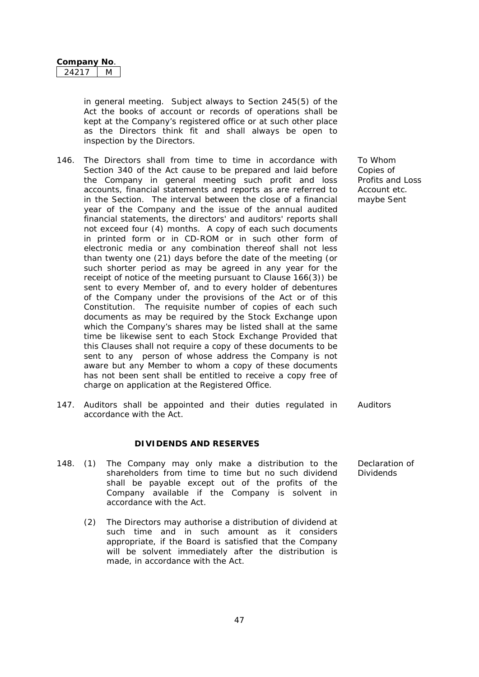in general meeting. Subject always to Section 245(5) of the Act the books of account or records of operations shall be kept at the Company's registered office or at such other place as the Directors think fit and shall always be open to inspection by the Directors.

- 146. The Directors shall from time to time in accordance with Section 340 of the Act cause to be prepared and laid before the Company in general meeting such profit and loss accounts, financial statements and reports as are referred to in the Section. The interval between the close of a financial year of the Company and the issue of the annual audited financial statements, the directors' and auditors' reports shall not exceed four (4) months. A copy of each such documents in printed form or in CD-ROM or in such other form of electronic media or any combination thereof shall not less than twenty one (21) days before the date of the meeting (or such shorter period as may be agreed in any year for the receipt of notice of the meeting pursuant to Clause 166(3)) be sent to every Member of, and to every holder of debentures of the Company under the provisions of the Act or of this Constitution. The requisite number of copies of each such documents as may be required by the Stock Exchange upon which the Company's shares may be listed shall at the same time be likewise sent to each Stock Exchange Provided that this Clauses shall not require a copy of these documents to be sent to any person of whose address the Company is not aware but any Member to whom a copy of these documents has not been sent shall be entitled to receive a copy free of charge on application at the Registered Office.
- 147. Auditors shall be appointed and their duties regulated in accordance with the Act.

#### **DIVIDENDS AND RESERVES**

- 148. (1) The Company may only make a distribution to the shareholders from time to time but no such dividend shall be payable except out of the profits of the Company available if the Company is solvent in accordance with the Act.
	- (2) The Directors may authorise a distribution of dividend at such time and in such amount as it considers appropriate, if the Board is satisfied that the Company will be solvent immediately after the distribution is made, in accordance with the Act.

To Whom Copies of Profits and Loss Account etc. maybe Sent

Auditors

Declaration of **Dividends**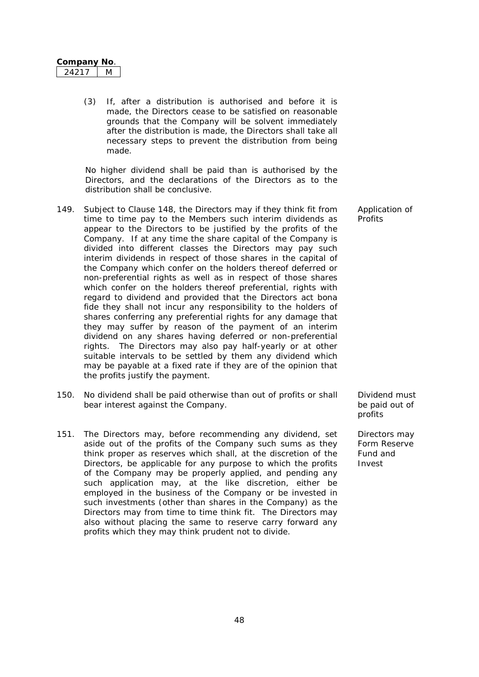| Companv⊺ | NΩ |
|----------|----|
|          |    |

(3) If, after a distribution is authorised and before it is made, the Directors cease to be satisfied on reasonable grounds that the Company will be solvent immediately after the distribution is made, the Directors shall take all necessary steps to prevent the distribution from being made.

No higher dividend shall be paid than is authorised by the Directors, and the declarations of the Directors as to the distribution shall be conclusive.

- 149. Subject to Clause 148, the Directors may if they think fit from time to time pay to the Members such interim dividends as appear to the Directors to be justified by the profits of the Company. If at any time the share capital of the Company is divided into different classes the Directors may pay such interim dividends in respect of those shares in the capital of the Company which confer on the holders thereof deferred or non-preferential rights as well as in respect of those shares which confer on the holders thereof preferential, rights with regard to dividend and provided that the Directors act bona fide they shall not incur any responsibility to the holders of shares conferring any preferential rights for any damage that they may suffer by reason of the payment of an interim dividend on any shares having deferred or non-preferential rights. The Directors may also pay half-yearly or at other suitable intervals to be settled by them any dividend which may be payable at a fixed rate if they are of the opinion that the profits justify the payment.
- 150. No dividend shall be paid otherwise than out of profits or shall bear interest against the Company.
- 151. The Directors may, before recommending any dividend, set aside out of the profits of the Company such sums as they think proper as reserves which shall, at the discretion of the Directors, be applicable for any purpose to which the profits of the Company may be properly applied, and pending any such application may, at the like discretion, either be employed in the business of the Company or be invested in such investments (other than shares in the Company) as the Directors may from time to time think fit. The Directors may also without placing the same to reserve carry forward any profits which they may think prudent not to divide.

Application of **Profits** 

Dividend must be paid out of profits

Directors may Form Reserve Fund and Invest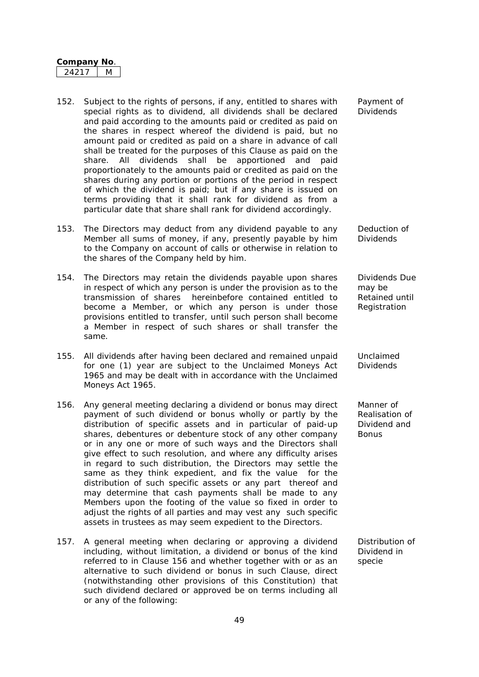- 152. Subject to the rights of persons, if any, entitled to shares with special rights as to dividend, all dividends shall be declared and paid according to the amounts paid or credited as paid on the shares in respect whereof the dividend is paid, but no amount paid or credited as paid on a share in advance of call shall be treated for the purposes of this Clause as paid on the share. All dividends shall be apportioned and paid proportionately to the amounts paid or credited as paid on the shares during any portion or portions of the period in respect of which the dividend is paid; but if any share is issued on terms providing that it shall rank for dividend as from a particular date that share shall rank for dividend accordingly.
- 153. The Directors may deduct from any dividend payable to any Member all sums of money, if any, presently payable by him to the Company on account of calls or otherwise in relation to the shares of the Company held by him.
- 154. The Directors may retain the dividends payable upon shares in respect of which any person is under the provision as to the transmission of shares hereinbefore contained entitled to become a Member, or which any person is under those provisions entitled to transfer, until such person shall become a Member in respect of such shares or shall transfer the same.
- 155. All dividends after having been declared and remained unpaid for one (1) year are subject to the Unclaimed Moneys Act 1965 and may be dealt with in accordance with the Unclaimed Moneys Act 1965.
- 156. Any general meeting declaring a dividend or bonus may direct payment of such dividend or bonus wholly or partly by the distribution of specific assets and in particular of paid-up shares, debentures or debenture stock of any other company or in any one or more of such ways and the Directors shall give effect to such resolution, and where any difficulty arises in regard to such distribution, the Directors may settle the same as they think expedient, and fix the value for the distribution of such specific assets or any part thereof and may determine that cash payments shall be made to any Members upon the footing of the value so fixed in order to adjust the rights of all parties and may vest any such specific assets in trustees as may seem expedient to the Directors.
- 157. A general meeting when declaring or approving a dividend including, without limitation, a dividend or bonus of the kind referred to in Clause 156 and whether together with or as an alternative to such dividend or bonus in such Clause, direct (notwithstanding other provisions of this Constitution) that such dividend declared or approved be on terms including all or any of the following:

Payment of Dividends

Deduction of **Dividends** 

Dividends Due may be Retained until Registration

Unclaimed Dividends

Manner of Realisation of Dividend and **Bonus** 

Distribution of Dividend in specie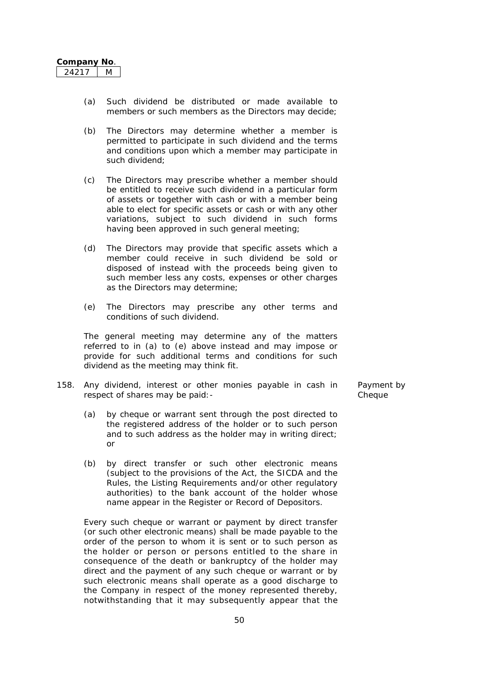- (a) Such dividend be distributed or made available to members or such members as the Directors may decide;
- (b) The Directors may determine whether a member is permitted to participate in such dividend and the terms and conditions upon which a member may participate in such dividend;
- (c) The Directors may prescribe whether a member should be entitled to receive such dividend in a particular form of assets or together with cash or with a member being able to elect for specific assets or cash or with any other variations, subject to such dividend in such forms having been approved in such general meeting;
- (d) The Directors may provide that specific assets which a member could receive in such dividend be sold or disposed of instead with the proceeds being given to such member less any costs, expenses or other charges as the Directors may determine;
- (e) The Directors may prescribe any other terms and conditions of such dividend.

The general meeting may determine any of the matters referred to in (a) to (e) above instead and may impose or provide for such additional terms and conditions for such dividend as the meeting may think fit.

- 158. Any dividend, interest or other monies payable in cash in respect of shares may be paid:-
	- (a) by cheque or warrant sent through the post directed to the registered address of the holder or to such person and to such address as the holder may in writing direct; or
	- (b) by direct transfer or such other electronic means (subject to the provisions of the Act, the SICDA and the Rules, the Listing Requirements and/or other regulatory authorities) to the bank account of the holder whose name appear in the Register or Record of Depositors.

Every such cheque or warrant or payment by direct transfer (or such other electronic means) shall be made payable to the order of the person to whom it is sent or to such person as the holder or person or persons entitled to the share in consequence of the death or bankruptcy of the holder may direct and the payment of any such cheque or warrant or by such electronic means shall operate as a good discharge to the Company in respect of the money represented thereby, notwithstanding that it may subsequently appear that the Payment by Cheque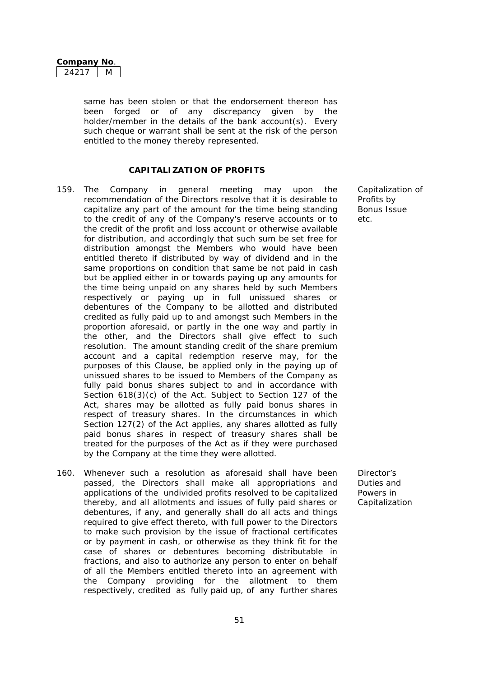same has been stolen or that the endorsement thereon has been forged or of any discrepancy given by the holder/member in the details of the bank account(s). Every such cheque or warrant shall be sent at the risk of the person entitled to the money thereby represented.

### **CAPITALIZATION OF PROFITS**

- 159. The Company in general meeting may upon the recommendation of the Directors resolve that it is desirable to capitalize any part of the amount for the time being standing to the credit of any of the Company's reserve accounts or to the credit of the profit and loss account or otherwise available for distribution, and accordingly that such sum be set free for distribution amongst the Members who would have been entitled thereto if distributed by way of dividend and in the same proportions on condition that same be not paid in cash but be applied either in or towards paying up any amounts for the time being unpaid on any shares held by such Members respectively or paying up in full unissued shares or debentures of the Company to be allotted and distributed credited as fully paid up to and amongst such Members in the proportion aforesaid, or partly in the one way and partly in the other, and the Directors shall give effect to such resolution. The amount standing credit of the share premium account and a capital redemption reserve may, for the purposes of this Clause, be applied only in the paying up of unissued shares to be issued to Members of the Company as fully paid bonus shares subject to and in accordance with Section 618(3)(c) of the Act. Subject to Section 127 of the Act, shares may be allotted as fully paid bonus shares in respect of treasury shares. In the circumstances in which Section 127(2) of the Act applies, any shares allotted as fully paid bonus shares in respect of treasury shares shall be treated for the purposes of the Act as if they were purchased by the Company at the time they were allotted.
- 160. Whenever such a resolution as aforesaid shall have been passed, the Directors shall make all appropriations and applications of the undivided profits resolved to be capitalized thereby, and all allotments and issues of fully paid shares or debentures, if any, and generally shall do all acts and things required to give effect thereto, with full power to the Directors to make such provision by the issue of fractional certificates or by payment in cash, or otherwise as they think fit for the case of shares or debentures becoming distributable in fractions, and also to authorize any person to enter on behalf of all the Members entitled thereto into an agreement with the Company providing for the allotment to them respectively, credited as fully paid up, of any further shares

Capitalization of Profits by Bonus Issue  $_{\mathsf{a}^{\dagger}c}$ 

Director's Duties and Powers in Capitalization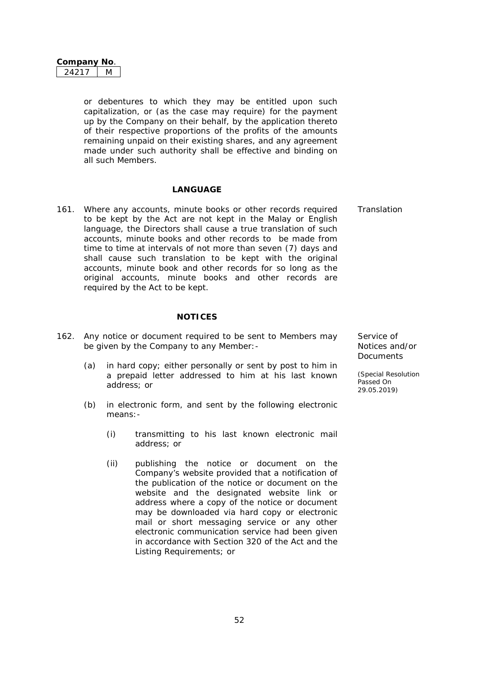**Company No**. 24217 M

or debentures to which they may be entitled upon such capitalization, or (as the case may require) for the payment up by the Company on their behalf, by the application thereto of their respective proportions of the profits of the amounts remaining unpaid on their existing shares, and any agreement made under such authority shall be effective and binding on all such Members.

#### **LANGUAGE**

161. Where any accounts, minute books or other records required to be kept by the Act are not kept in the Malay or English language, the Directors shall cause a true translation of such accounts, minute books and other records to be made from time to time at intervals of not more than seven (7) days and shall cause such translation to be kept with the original accounts, minute book and other records for so long as the original accounts, minute books and other records are required by the Act to be kept.

#### **NOTICES**

- 162. Any notice or document required to be sent to Members may be given by the Company to any Member:-
	- (a) in hard copy; either personally or sent by post to him in a prepaid letter addressed to him at his last known address; or
	- (b) in electronic form, and sent by the following electronic means:-
		- (i) transmitting to his last known electronic mail address; or
		- (ii) publishing the notice or document on the Company's website provided that a notification of the publication of the notice or document on the website and the designated website link or address where a copy of the notice or document may be downloaded via hard copy or electronic mail or short messaging service or any other electronic communication service had been given in accordance with Section 320 of the Act and the Listing Requirements; or

Service of Notices and/or **Documents** 

*(Special Resolution Passed On 29.05.2019)*

**Translation**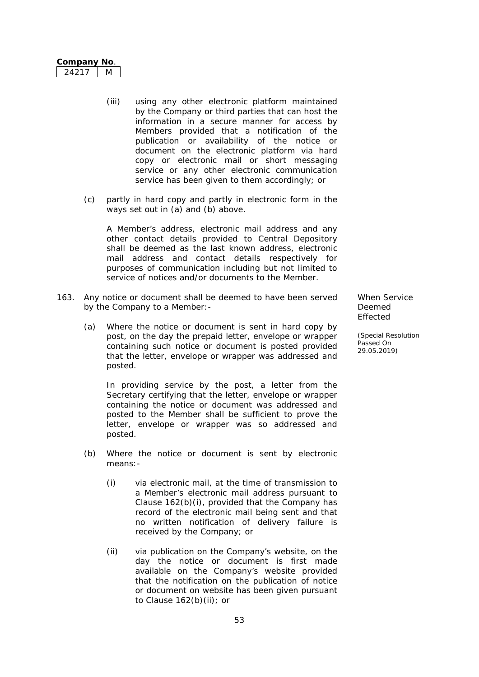| Company | NΩ |
|---------|----|
| L') 1   |    |

- (iii) using any other electronic platform maintained by the Company or third parties that can host the information in a secure manner for access by Members provided that a notification of the publication or availability of the notice or document on the electronic platform via hard copy or electronic mail or short messaging service or any other electronic communication service has been given to them accordingly; or
- (c) partly in hard copy and partly in electronic form in the ways set out in (a) and (b) above.

A Member's address, electronic mail address and any other contact details provided to Central Depository shall be deemed as the last known address, electronic mail address and contact details respectively for purposes of communication including but not limited to service of notices and/or documents to the Member.

- 163. Any notice or document shall be deemed to have been served by the Company to a Member:-
	- (a) Where the notice or document is sent in hard copy by post, on the day the prepaid letter, envelope or wrapper containing such notice or document is posted provided that the letter, envelope or wrapper was addressed and posted.

In providing service by the post, a letter from the Secretary certifying that the letter, envelope or wrapper containing the notice or document was addressed and posted to the Member shall be sufficient to prove the letter, envelope or wrapper was so addressed and posted.

- (b) Where the notice or document is sent by electronic means:-
	- (i) via electronic mail, at the time of transmission to a Member's electronic mail address pursuant to Clause 162(b)(i), provided that the Company has record of the electronic mail being sent and that no written notification of delivery failure is received by the Company; or
	- (ii) via publication on the Company's website, on the day the notice or document is first made available on the Company's website provided that the notification on the publication of notice or document on website has been given pursuant to Clause 162(b)(ii); or

When Service Deemed Effected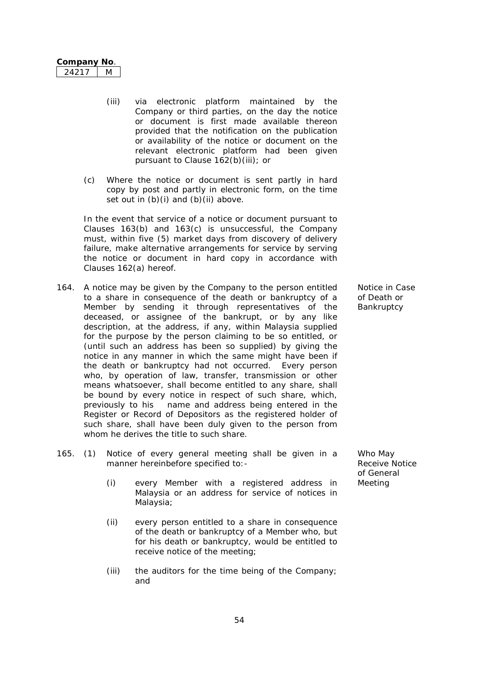| Company | NΩ |
|---------|----|
|         |    |

- (iii) via electronic platform maintained by the Company or third parties, on the day the notice or document is first made available thereon provided that the notification on the publication or availability of the notice or document on the relevant electronic platform had been given pursuant to Clause 162(b)(iii); or
- (c) Where the notice or document is sent partly in hard copy by post and partly in electronic form, on the time set out in  $(b)(i)$  and  $(b)(ii)$  above.

In the event that service of a notice or document pursuant to Clauses 163(b) and 163(c) is unsuccessful, the Company must, within five (5) market days from discovery of delivery failure, make alternative arrangements for service by serving the notice or document in hard copy in accordance with Clauses 162(a) hereof.

- 164. A notice may be given by the Company to the person entitled to a share in consequence of the death or bankruptcy of a Member by sending it through representatives of the deceased, or assignee of the bankrupt, or by any like description, at the address, if any, within Malaysia supplied for the purpose by the person claiming to be so entitled, or (until such an address has been so supplied) by giving the notice in any manner in which the same might have been if the death or bankruptcy had not occurred. Every person who, by operation of law, transfer, transmission or other means whatsoever, shall become entitled to any share, shall be bound by every notice in respect of such share, which, previously to his name and address being entered in the Register or Record of Depositors as the registered holder of such share, shall have been duly given to the person from whom he derives the title to such share.
- 165. (1) Notice of every general meeting shall be given in a manner hereinbefore specified to:-
	- (i) every Member with a registered address in Meeting Malaysia or an address for service of notices in Malaysia;
	- (ii) every person entitled to a share in consequence of the death or bankruptcy of a Member who, but for his death or bankruptcy, would be entitled to receive notice of the meeting;
	- (iii) the auditors for the time being of the Company; and

Notice in Case of Death or **Bankruptcy** 

Who May Receive Notice of General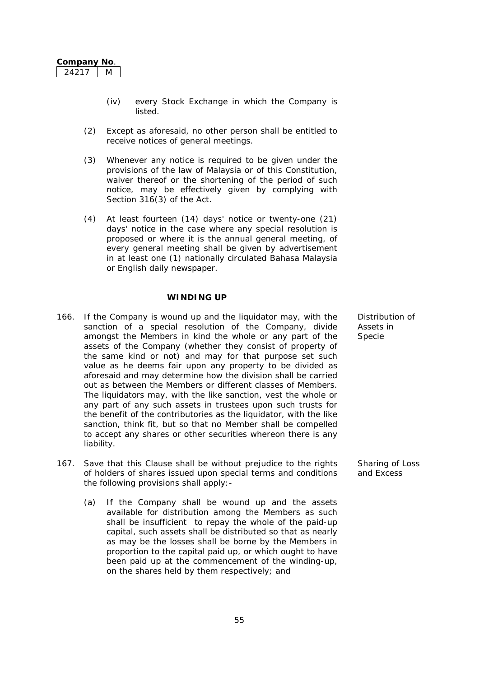- (iv) every Stock Exchange in which the Company is listed.
- (2) Except as aforesaid, no other person shall be entitled to receive notices of general meetings.
- (3) Whenever any notice is required to be given under the provisions of the law of Malaysia or of this Constitution, waiver thereof or the shortening of the period of such notice, may be effectively given by complying with Section 316(3) of the Act.
- (4) At least fourteen (14) days' notice or twenty-one (21) days' notice in the case where any special resolution is proposed or where it is the annual general meeting, of every general meeting shall be given by advertisement in at least one (1) nationally circulated Bahasa Malaysia or English daily newspaper.

#### **WINDING UP**

- 166. If the Company is wound up and the liquidator may, with the sanction of a special resolution of the Company, divide amongst the Members in kind the whole or any part of the assets of the Company (whether they consist of property of the same kind or not) and may for that purpose set such value as he deems fair upon any property to be divided as aforesaid and may determine how the division shall be carried out as between the Members or different classes of Members. The liquidators may, with the like sanction, vest the whole or any part of any such assets in trustees upon such trusts for the benefit of the contributories as the liquidator, with the like sanction, think fit, but so that no Member shall be compelled to accept any shares or other securities whereon there is any liability.
- 167. Save that this Clause shall be without prejudice to the rights of holders of shares issued upon special terms and conditions the following provisions shall apply:-
	- (a) If the Company shall be wound up and the assets available for distribution among the Members as such shall be insufficient to repay the whole of the paid-up capital, such assets shall be distributed so that as nearly as may be the losses shall be borne by the Members in proportion to the capital paid up, or which ought to have been paid up at the commencement of the winding-up, on the shares held by them respectively; and

Distribution of Assets in Specie

Sharing of Loss and Excess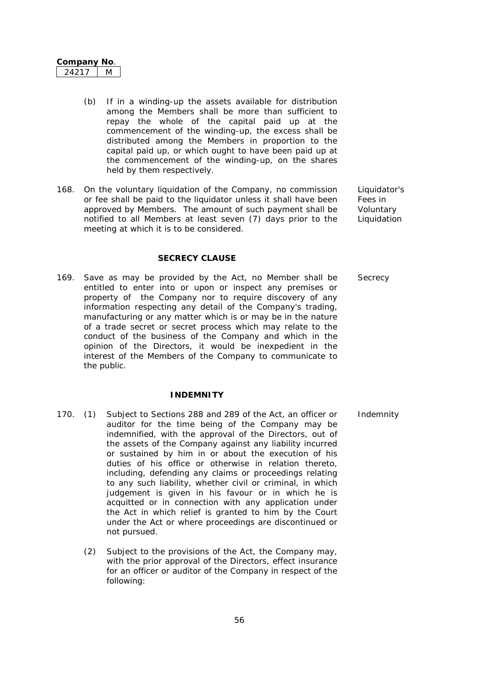| Company I | <b>NO</b> |
|-----------|-----------|
| オウエ       |           |

- (b) If in a winding-up the assets available for distribution among the Members shall be more than sufficient to repay the whole of the capital paid up at the commencement of the winding-up, the excess shall be distributed among the Members in proportion to the capital paid up, or which ought to have been paid up at the commencement of the winding-up, on the shares held by them respectively.
- 168. On the voluntary liquidation of the Company, no commission or fee shall be paid to the liquidator unless it shall have been approved by Members. The amount of such payment shall be notified to all Members at least seven (7) days prior to the meeting at which it is to be considered.

Liquidator's Fees in **Voluntary** Liquidation

**SECRECY CLAUSE**

169. Save as may be provided by the Act, no Member shall be entitled to enter into or upon or inspect any premises or property of the Company nor to require discovery of any information respecting any detail of the Company's trading, manufacturing or any matter which is or may be in the nature of a trade secret or secret process which may relate to the conduct of the business of the Company and which in the opinion of the Directors, it would be inexpedient in the interest of the Members of the Company to communicate to the public.

#### **INDEMNITY**

- 170. (1) Subject to Sections 288 and 289 of the Act, an officer or auditor for the time being of the Company may be indemnified, with the approval of the Directors, out of the assets of the Company against any liability incurred or sustained by him in or about the execution of his duties of his office or otherwise in relation thereto, including, defending any claims or proceedings relating to any such liability, whether civil or criminal, in which judgement is given in his favour or in which he is acquitted or in connection with any application under the Act in which relief is granted to him by the Court under the Act or where proceedings are discontinued or not pursued.
	- (2) Subject to the provisions of the Act, the Company may, with the prior approval of the Directors, effect insurance for an officer or auditor of the Company in respect of the following:

**Secrecy** 

Indemnity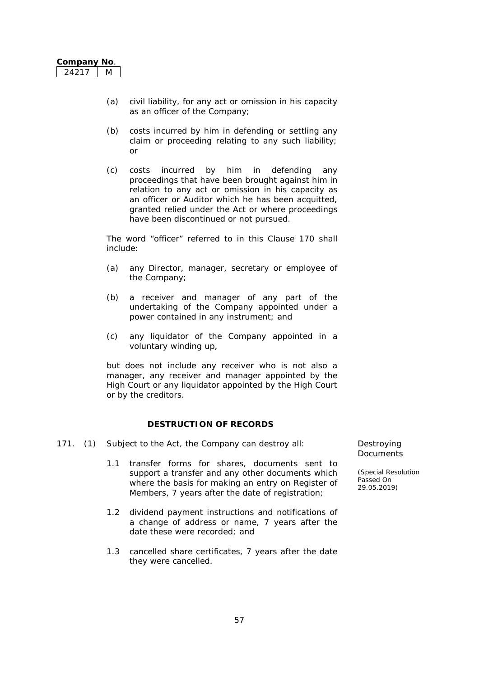- (a) civil liability, for any act or omission in his capacity as an officer of the Company;
- (b) costs incurred by him in defending or settling any claim or proceeding relating to any such liability; or
- (c) costs incurred by him in defending any proceedings that have been brought against him in relation to any act or omission in his capacity as an officer or Auditor which he has been acquitted, granted relied under the Act or where proceedings have been discontinued or not pursued.

The word "officer" referred to in this Clause 170 shall include:

- (a) any Director, manager, secretary or employee of the Company;
- (b) a receiver and manager of any part of the undertaking of the Company appointed under a power contained in any instrument; and
- (c) any liquidator of the Company appointed in a voluntary winding up,

but does not include any receiver who is not also a manager, any receiver and manager appointed by the High Court or any liquidator appointed by the High Court or by the creditors.

#### **DESTRUCTION OF RECORDS**

- 171. (1) Subject to the Act, the Company can destroy all: Destroying
	- 1.1 transfer forms for shares, documents sent to support a transfer and any other documents which where the basis for making an entry on Register of Members, 7 years after the date of registration;
	- 1.2 dividend payment instructions and notifications of a change of address or name, 7 years after the date these were recorded; and
	- 1.3 cancelled share certificates, 7 years after the date they were cancelled.

**Documents**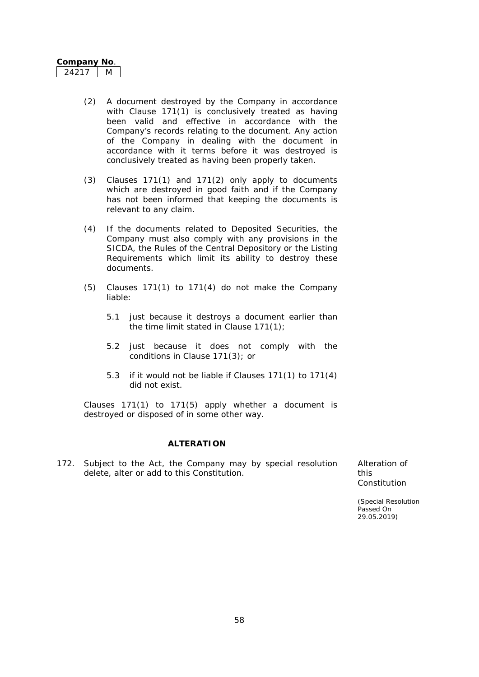| ompany l | ממ |
|----------|----|
|          |    |

- (2) A document destroyed by the Company in accordance with Clause 171(1) is conclusively treated as having been valid and effective in accordance with the Company's records relating to the document. Any action of the Company in dealing with the document in accordance with it terms before it was destroyed is conclusively treated as having been properly taken.
- (3) Clauses 171(1) and 171(2) only apply to documents which are destroyed in good faith and if the Company has not been informed that keeping the documents is relevant to any claim.
- (4) If the documents related to Deposited Securities, the Company must also comply with any provisions in the SICDA, the Rules of the Central Depository or the Listing Requirements which limit its ability to destroy these documents.
- (5) Clauses 171(1) to 171(4) do not make the Company liable:
	- 5.1 just because it destroys a document earlier than the time limit stated in Clause 171(1);
	- 5.2 just because it does not comply with the conditions in Clause 171(3); or
	- 5.3 if it would not be liable if Clauses 171(1) to 171(4) did not exist.

Clauses 171(1) to 171(5) apply whether a document is destroyed or disposed of in some other way.

#### **ALTERATION**

172. Subject to the Act, the Company may by special resolution delete, alter or add to this Constitution.

Alteration of this Constitution